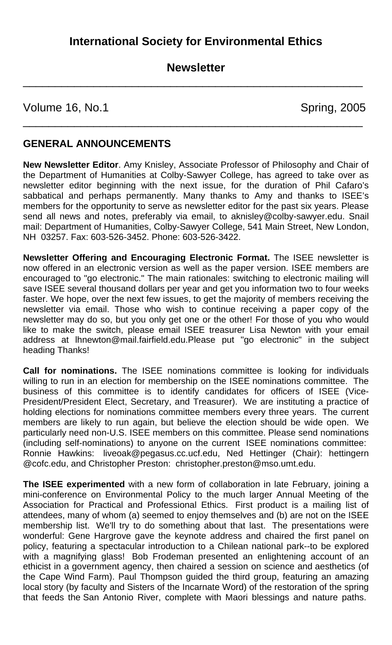## **Newsletter**

\_\_\_\_\_\_\_\_\_\_\_\_\_\_\_\_\_\_\_\_\_\_\_\_\_\_\_\_\_\_\_\_\_\_\_\_\_\_\_\_\_\_\_\_\_\_\_\_\_\_\_\_\_

\_\_\_\_\_\_\_\_\_\_\_\_\_\_\_\_\_\_\_\_\_\_\_\_\_\_\_\_\_\_\_\_\_\_\_\_\_\_\_\_\_\_\_\_\_\_\_\_\_\_\_\_\_

Volume 16, No.1 Spring, 2005

## **GENERAL ANNOUNCEMENTS**

**New Newsletter Editor**. Amy Knisley, Associate Professor of Philosophy and Chair of the Department of Humanities at Colby-Sawyer College, has agreed to take over as newsletter editor beginning with the next issue, for the duration of Phil Cafaro's sabbatical and perhaps permanently. Many thanks to Amy and thanks to ISEE's members for the opportunity to serve as newsletter editor for the past six years. Please send all news and notes, preferably via email, to aknisley@colby-sawyer.edu. Snail mail: Department of Humanities, Colby-Sawyer College, 541 Main Street, New London, NH 03257. Fax: 603-526-3452. Phone: 603-526-3422.

**Newsletter Offering and Encouraging Electronic Format.** The ISEE newsletter is now offered in an electronic version as well as the paper version. ISEE members are encouraged to "go electronic." The main rationales: switching to electronic mailing will save ISEE several thousand dollars per year and get you information two to four weeks faster. We hope, over the next few issues, to get the majority of members receiving the newsletter via email. Those who wish to continue receiving a paper copy of the newsletter may do so, but you only get one or the other! For those of you who would like to make the switch, please email ISEE treasurer Lisa Newton with your email address at [lhnewton@mail.fairfield.edu.](mailto:lhnewton@mail.fairfield.edu)Please put "go electronic" in the subject heading Thanks!

**Call for nominations.** The ISEE nominations committee is looking for individuals willing to run in an election for membership on the ISEE nominations committee. The business of this committee is to identify candidates for officers of ISEE (Vice-President/President Elect, Secretary, and Treasurer). We are instituting a practice of holding elections for nominations committee members every three years. The current members are likely to run again, but believe the election should be wide open. We particularly need non-U.S. ISEE members on this committee. Please send nominations (including self-nominations) to anyone on the current ISEE nominations committee: Ronnie Hawkins: liveoak@pegasus.cc.ucf.edu, Ned Hettinger (Chair): hettingern @cofc.edu, and Christopher Preston: christopher.preston@mso.umt.edu.

**The ISEE experimented** with a new form of collaboration in late February, joining a mini-conference on Environmental Policy to the much larger Annual Meeting of the Association for Practical and Professional Ethics. First product is a mailing list of attendees, many of whom (a) seemed to enjoy themselves and (b) are not on the ISEE membership list. We'll try to do something about that last. The presentations were wonderful: Gene Hargrove gave the keynote address and chaired the first panel on policy, featuring a spectacular introduction to a Chilean national park--to be explored with a magnifying glass! Bob Frodeman presented an enlightening account of an ethicist in a government agency, then chaired a session on science and aesthetics (of the Cape Wind Farm). Paul Thompson guided the third group, featuring an amazing local story (by faculty and Sisters of the Incarnate Word) of the restoration of the spring that feeds the San Antonio River, complete with Maori blessings and nature paths.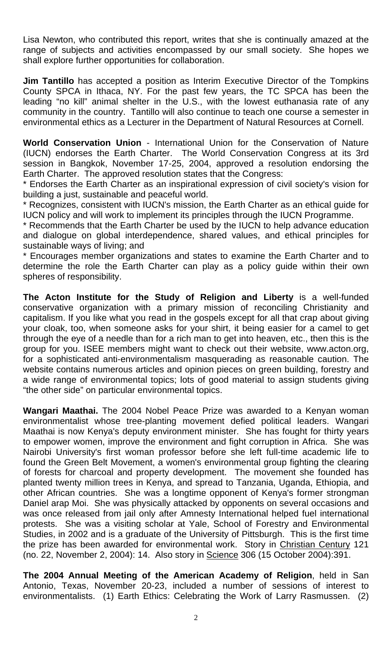Lisa Newton, who contributed this report, writes that she is continually amazed at the range of subjects and activities encompassed by our small society. She hopes we shall explore further opportunities for collaboration.

**Jim Tantillo** has accepted a position as Interim Executive Director of the Tompkins County SPCA in Ithaca, NY. For the past few years, the TC SPCA has been the leading "no kill" animal shelter in the U.S., with the lowest euthanasia rate of any community in the country. Tantillo will also continue to teach one course a semester in environmental ethics as a Lecturer in the Department of Natural Resources at Cornell.

**World Conservation Union** - International Union for the Conservation of Nature (IUCN) endorses the Earth Charter. The World Conservation Congress at its 3rd session in Bangkok, November 17-25, 2004, approved a resolution endorsing the Earth Charter. The approved resolution states that the Congress:

\* Endorses the Earth Charter as an inspirational expression of civil society's vision for building a just, sustainable and peaceful world.

\* Recognizes, consistent with IUCN's mission, the Earth Charter as an ethical guide for IUCN policy and will work to implement its principles through the IUCN Programme.

\* Recommends that the Earth Charter be used by the IUCN to help advance education and dialogue on global interdependence, shared values, and ethical principles for sustainable ways of living; and

\* Encourages member organizations and states to examine the Earth Charter and to determine the role the Earth Charter can play as a policy guide within their own spheres of responsibility.

**The Acton Institute for the Study of Religion and Liberty** is a well-funded conservative organization with a primary mission of reconciling Christianity and capitalism. If you like what you read in the gospels except for all that crap about giving your cloak, too, when someone asks for your shirt, it being easier for a camel to get through the eye of a needle than for a rich man to get into heaven, etc., then this is the group for you. ISEE members might want to check out their website, [www.acton.org](http://www.acton.org/), for a sophisticated anti-environmentalism masquerading as reasonable caution. The website contains numerous articles and opinion pieces on green building, forestry and a wide range of environmental topics; lots of good material to assign students giving "the other side" on particular environmental topics.

**Wangari Maathai.** The 2004 Nobel Peace Prize was awarded to a Kenyan woman environmentalist whose tree-planting movement defied political leaders. Wangari Maathai is now Kenya's deputy environment minister. She has fought for thirty years to empower women, improve the environment and fight corruption in Africa. She was Nairobi University's first woman professor before she left full-time academic life to found the Green Belt Movement, a women's environmental group fighting the clearing of forests for charcoal and property development. The movement she founded has planted twenty million trees in Kenya, and spread to Tanzania, Uganda, Ethiopia, and other African countries. She was a longtime opponent of Kenya's former strongman Daniel arap Moi. She was physically attacked by opponents on several occasions and was once released from jail only after Amnesty International helped fuel international protests. She was a visiting scholar at Yale, School of Forestry and Environmental Studies, in 2002 and is a graduate of the University of Pittsburgh. This is the first time the prize has been awarded for environmental work. Story in Christian Century 121 (no. 22, November 2, 2004): 14. Also story in Science 306 (15 October 2004):391.

**The 2004 Annual Meeting of the American Academy of Religion**, held in San Antonio, Texas, November 20-23, included a number of sessions of interest to environmentalists. (1) Earth Ethics: Celebrating the Work of Larry Rasmussen. (2)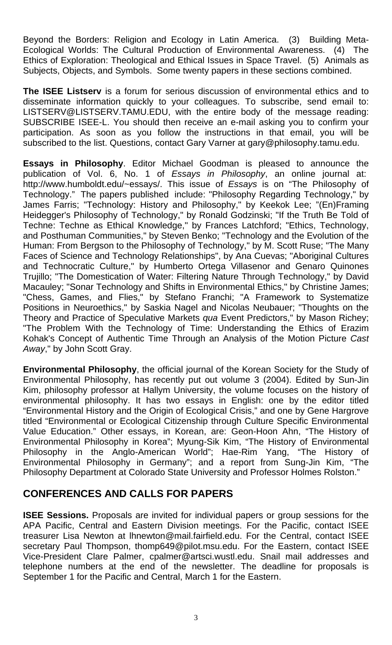Beyond the Borders: Religion and Ecology in Latin America. (3) Building Meta-Ecological Worlds: The Cultural Production of Environmental Awareness. (4) The Ethics of Exploration: Theological and Ethical Issues in Space Travel. (5) Animals as Subjects, Objects, and Symbols. Some twenty papers in these sections combined.

**The ISEE Listserv** is a forum for serious discussion of environmental ethics and to disseminate information quickly to your colleagues. To subscribe, send email to: LISTSERV@LISTSERV.TAMU.EDU, with the entire body of the message reading: SUBSCRIBE ISEE-L. You should then receive an e-mail asking you to confirm your participation. As soon as you follow the instructions in that email, you will be subscribed to the list. Questions, contact Gary Varner at gary@philosophy.tamu.edu.

**Essays in Philosophy**. Editor Michael Goodman is pleased to announce the publication of Vol. 6, No. 1 of *Essays in Philosophy*, an online journal at: [http://www.humboldt.edu/~essays/.](http://www.humboldt.edu/%7Eessays/) This issue of *Essays* is on "The Philosophy of Technology." The papers published include: "Philosophy Regarding Technology," by James Farris; "Technology: History and Philosophy," by Keekok Lee; "(En)Framing Heidegger's Philosophy of Technology," by Ronald Godzinski; "If the Truth Be Told of Techne: Techne as Ethical Knowledge," by Frances Latchford; "Ethics, Technology, and Posthuman Communities," by Steven Benko; "Technology and the Evolution of the Human: From Bergson to the Philosophy of Technology," by M. Scott Ruse; "The Many Faces of Science and Technology Relationships", by Ana Cuevas; "Aboriginal Cultures and Technocratic Culture," by Humberto Ortega Villasenor and Genaro Quinones Trujillo; "The Domestication of Water: Filtering Nature Through Technology," by David Macauley; "Sonar Technology and Shifts in Environmental Ethics," by Christine James; "Chess, Games, and Flies," by Stefano Franchi; "A Framework to Systematize Positions in Neuroethics," by Saskia Nagel and Nicolas Neubauer; "Thoughts on the Theory and Practice of Speculative Markets *qua* Event Predictors," by Mason Richey; "The Problem With the Technology of Time: Understanding the Ethics of Erazim Kohak's Concept of Authentic Time Through an Analysis of the Motion Picture *Cast Away*," by John Scott Gray.

**Environmental Philosophy**, the official journal of the Korean Society for the Study of Environmental Philosophy, has recently put out volume 3 (2004). Edited by Sun-Jin Kim, philosophy professor at Hallym University, the volume focuses on the history of environmental philosophy. It has two essays in English: one by the editor titled "Environmental History and the Origin of Ecological Crisis," and one by Gene Hargrove titled "Environmental or Ecological Citizenship through Culture Specific Environmental Value Education." Other essays, in Korean, are: Geon-Hoon Ahn, "The History of Environmental Philosophy in Korea"; Myung-Sik Kim, "The History of Environmental<br>Philosophy in the Anglo-American World"; Hae-Rim Yang, "The History of Philosophy in the Anglo-American World"; Hae-Rim Yang, Environmental Philosophy in Germany"; and a report from Sung-Jin Kim, "The Philosophy Department at Colorado State University and Professor Holmes Rolston."

# **CONFERENCES AND CALLS FOR PAPERS**

**ISEE Sessions.** Proposals are invited for individual papers or group sessions for the APA Pacific, Central and Eastern Division meetings. For the Pacific, contact ISEE treasurer Lisa Newton at [lhnewton@mail.fairfield.edu](mailto:lhnewton@mail.fairfield.edu). For the Central, contact ISEE secretary Paul Thompson, thomp649@pilot.msu.edu. For the Eastern, contact ISEE Vice-President Clare Palmer, [cpalmer@artsci.wustl.edu](mailto:cpalmer@artsci.wustl.edu). Snail mail addresses and telephone numbers at the end of the newsletter. The deadline for proposals is September 1 for the Pacific and Central, March 1 for the Eastern.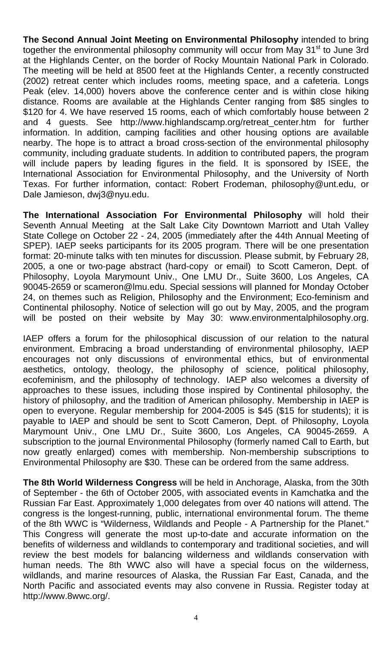**The Second Annual Joint Meeting on Environmental Philosophy** intended to bring together the environmental philosophy community will occur from May 31<sup>st</sup> to June 3rd at the Highlands Center, on the border of Rocky Mountain National Park in Colorado. The meeting will be held at 8500 feet at the Highlands Center, a recently constructed (2002) retreat center which includes rooms, meeting space, and a cafeteria. Longs Peak (elev. 14,000) hovers above the conference center and is within close hiking distance. Rooms are available at the Highlands Center ranging from \$85 singles to \$120 for 4. We have reserved 15 rooms, each of which comfortably house between 2 and 4 guests. See [http://www.highlandscamp.org/retreat\\_center.htm](http://www.highlandscamp.org/retreat_center.htm) for further information. In addition, camping facilities and other housing options are available nearby. The hope is to attract a broad cross-section of the environmental philosophy community, including graduate students. In addition to contributed papers, the program will include papers by leading figures in the field. It is sponsored by ISEE, the International Association for Environmental Philosophy, and the University of North Texas. For further information, contact: Robert Frodeman, [philosophy@unt.edu](mailto:philosophy@unt.edu), or Dale Jamieson, dwj3@nyu.edu.

**The International Association For Environmental Philosophy** will hold their Seventh Annual Meeting at the Salt Lake City Downtown Marriott and Utah Valley State College on October 22 - 24, 2005 (immediately after the 44th Annual Meeting of SPEP). IAEP seeks participants for its 2005 program. There will be one presentation format: 20-minute talks with ten minutes for discussion. Please submit, by February 28, 2005, a one or two-page abstract (hard-copy or email) to Scott Cameron, Dept. of Philosophy, Loyola Marymount Univ., One LMU Dr., Suite 3600, Los Angeles, CA 90045-2659 or [scameron@lmu.edu](mailto:scameron@lmu.edu). Special sessions will planned for Monday October 24, on themes such as Religion, Philosophy and the Environment; Eco-feminism and Continental philosophy. Notice of selection will go out by May, 2005, and the program will be posted on their website by May 30: [www.environmentalphilosophy.org](http://www.environmentalphilosophy.org/).

IAEP offers a forum for the philosophical discussion of our relation to the natural environment. Embracing a broad understanding of environmental philosophy, IAEP encourages not only discussions of environmental ethics, but of environmental aesthetics, ontology, theology, the philosophy of science, political philosophy, ecofeminism, and the philosophy of technology. IAEP also welcomes a diversity of approaches to these issues, including those inspired by Continental philosophy, the history of philosophy, and the tradition of American philosophy. Membership in IAEP is open to everyone. Regular membership for 2004-2005 is \$45 (\$15 for students); it is payable to IAEP and should be sent to Scott Cameron, Dept. of Philosophy, Loyola Marymount Univ., One LMU Dr., Suite 3600, Los Angeles, CA 90045-2659. A subscription to the journal Environmental Philosophy (formerly named Call to Earth, but now greatly enlarged) comes with membership. Non-membership subscriptions to Environmental Philosophy are \$30. These can be ordered from the same address.

**The 8th World Wilderness Congress** will be held in Anchorage, Alaska, from the 30th of September - the 6th of October 2005, with associated events in Kamchatka and the Russian Far East. Approximately 1,000 delegates from over 40 nations will attend. The congress is the longest-running, public, international environmental forum. The theme of the 8th WWC is "Wilderness, Wildlands and People - A Partnership for the Planet." This Congress will generate the most up-to-date and accurate information on the benefits of wilderness and wildlands to contemporary and traditional societies, and will review the best models for balancing wilderness and wildlands conservation with human needs. The 8th WWC also will have a special focus on the wilderness, wildlands, and marine resources of Alaska, the Russian Far East, Canada, and the North Pacific and associated events may also convene in Russia. Register today at <http://www.8wwc.org/>.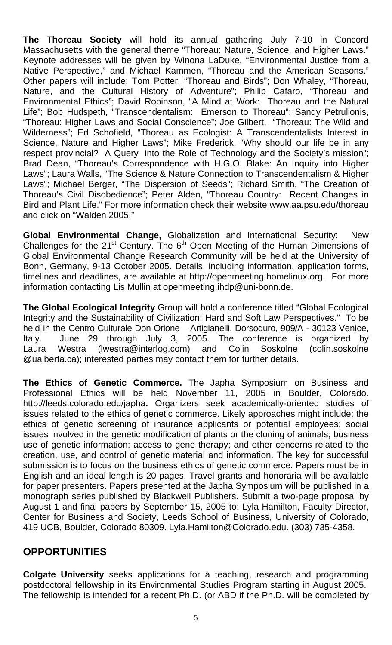**The Thoreau Society** will hold its annual gathering July 7-10 in Concord Massachusetts with the general theme "Thoreau: Nature, Science, and Higher Laws." Keynote addresses will be given by Winona LaDuke, "Environmental Justice from a Native Perspective," and Michael Kammen, "Thoreau and the American Seasons." Other papers will include: Tom Potter, "Thoreau and Birds"; Don Whaley, "Thoreau, Nature, and the Cultural History of Adventure"; Philip Cafaro, "Thoreau and Environmental Ethics"; David Robinson, "A Mind at Work: Thoreau and the Natural Life"; Bob Hudspeth, "Transcendentalism: Emerson to Thoreau"; Sandy Petrulionis, "Thoreau: Higher Laws and Social Conscience"; Joe Gilbert, "Thoreau: The Wild and Wilderness"; Ed Schofield, "Thoreau as Ecologist: A Transcendentalists Interest in Science, Nature and Higher Laws"; Mike Frederick, "Why should our life be in any respect provincial? A Query into the Role of Technology and the Society's mission"; Brad Dean, "Thoreau's Correspondence with H.G.O. Blake: An Inquiry into Higher Laws"; Laura Walls, "The Science & Nature Connection to Transcendentalism & Higher Laws"; Michael Berger, "The Dispersion of Seeds"; Richard Smith, "The Creation of Thoreau's Civil Disobedience"; Peter Alden, "Thoreau Country: Recent Changes in Bird and Plant Life." For more information check their website [www.aa.psu.edu/thoreau](http://www.aa.psu.edu/thoreau) and click on "Walden 2005."

**Global Environmental Change,** Globalization and International Security: New Challenges for the 21<sup>st</sup> Century. The 6<sup>th</sup> Open Meeting of the Human Dimensions of Global Environmental Change Research Community will be held at the University of Bonn, Germany, 9-13 October 2005. Details, including information, application forms, timelines and deadlines, are available at [http://openmeeting.homelinux.org.](http://openmeeting.homelinux.org/) For more information contacting Lis Mullin at [openmeeting.ihdp@uni-bonn.de](mailto:openmeeting.ihdp@uni-bonn.de).

**The Global Ecological Integrity** Group will hold a conference titled "Global Ecological Integrity and the Sustainability of Civilization: Hard and Soft Law Perspectives." To be held in the Centro Culturale Don Orione – Artigianelli. Dorsoduro, 909/A - 30123 Venice, Italy. June 29 through July 3, 2005. The conference is organized by Laura Westra ([lwestra@interlog.com](mailto:lwestra@interlog.com)) and Colin Soskolne (colin.soskolne @ualberta.ca); interested parties may contact them for further details.

**The Ethics of Genetic Commerce.** The Japha Symposium on Business and Professional Ethics will be held November 11, 2005 in Boulder, Colorado. <http://leeds.colorado.edu/japha>**.** Organizers seek academically-oriented studies of issues related to the ethics of genetic commerce. Likely approaches might include: the ethics of genetic screening of insurance applicants or potential employees; social issues involved in the genetic modification of plants or the cloning of animals; business use of genetic information; access to gene therapy; and other concerns related to the creation, use, and control of genetic material and information. The key for successful submission is to focus on the business ethics of genetic commerce. Papers must be in English and an ideal length is 20 pages. Travel grants and honoraria will be available for paper presenters. Papers presented at the Japha Symposium will be published in a monograph series published by Blackwell Publishers. Submit a two-page proposal by August 1 and final papers by September 15, 2005 to: Lyla Hamilton, Faculty Director, Center for Business and Society, Leeds School of Business, University of Colorado, 419 UCB, Boulder, Colorado 80309. [Lyla.Hamilton@Colorado.edu](mailto:Lyla.Hamilton@Colorado.edu). (303) 735-4358.

#### **OPPORTUNITIES**

**Colgate University** seeks applications for a teaching, research and programming postdoctoral fellowship in its Environmental Studies Program starting in August 2005. The fellowship is intended for a recent Ph.D. (or ABD if the Ph.D. will be completed by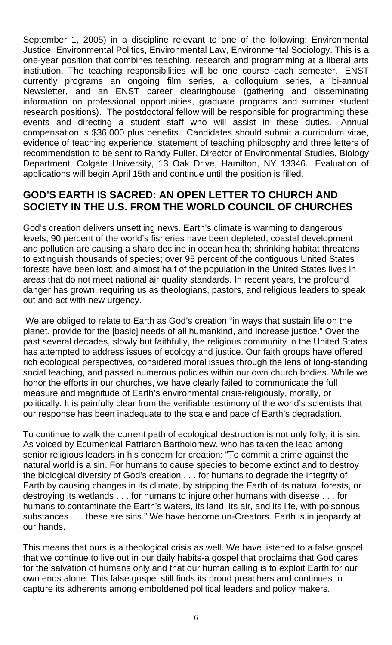September 1, 2005) in a discipline relevant to one of the following: Environmental Justice, Environmental Politics, Environmental Law, Environmental Sociology. This is a one-year position that combines teaching, research and programming at a liberal arts institution. The teaching responsibilities will be one course each semester. ENST currently programs an ongoing film series, a colloquium series, a bi-annual Newsletter, and an ENST career clearinghouse (gathering and disseminating information on professional opportunities, graduate programs and summer student research positions). The postdoctoral fellow will be responsible for programming these events and directing a student staff who will assist in these duties. Annual compensation is \$36,000 plus benefits. Candidates should submit a curriculum vitae, evidence of teaching experience, statement of teaching philosophy and three letters of recommendation to be sent to Randy Fuller, Director of Environmental Studies, Biology Department, Colgate University, 13 Oak Drive, Hamilton, NY 13346. Evaluation of applications will begin April 15th and continue until the position is filled.

#### **GOD'S EARTH IS SACRED: AN OPEN LETTER TO CHURCH AND SOCIETY IN THE U.S. FROM THE WORLD COUNCIL OF CHURCHES**

God's creation delivers unsettling news. Earth's climate is warming to dangerous levels; 90 percent of the world's fisheries have been depleted; coastal development and pollution are causing a sharp decline in ocean health; shrinking habitat threatens to extinguish thousands of species; over 95 percent of the contiguous United States forests have been lost; and almost half of the population in the United States lives in areas that do not meet national air quality standards. In recent years, the profound danger has grown, requiring us as theologians, pastors, and religious leaders to speak out and act with new urgency.

 We are obliged to relate to Earth as God's creation "in ways that sustain life on the planet, provide for the [basic] needs of all humankind, and increase justice." Over the past several decades, slowly but faithfully, the religious community in the United States has attempted to address issues of ecology and justice. Our faith groups have offered rich ecological perspectives, considered moral issues through the lens of long-standing social teaching, and passed numerous policies within our own church bodies. While we honor the efforts in our churches, we have clearly failed to communicate the full measure and magnitude of Earth's environmental crisis-religiously, morally, or politically. It is painfully clear from the verifiable testimony of the world's scientists that our response has been inadequate to the scale and pace of Earth's degradation.

To continue to walk the current path of ecological destruction is not only folly; it is sin. As voiced by Ecumenical Patriarch Bartholomew, who has taken the lead among senior religious leaders in his concern for creation: "To commit a crime against the natural world is a sin. For humans to cause species to become extinct and to destroy the biological diversity of God's creation . . . for humans to degrade the integrity of Earth by causing changes in its climate, by stripping the Earth of its natural forests, or destroying its wetlands . . . for humans to injure other humans with disease . . . for humans to contaminate the Earth's waters, its land, its air, and its life, with poisonous substances . . . these are sins." We have become un-Creators. Earth is in jeopardy at our hands.

This means that ours is a theological crisis as well. We have listened to a false gospel that we continue to live out in our daily habits-a gospel that proclaims that God cares for the salvation of humans only and that our human calling is to exploit Earth for our own ends alone. This false gospel still finds its proud preachers and continues to capture its adherents among emboldened political leaders and policy makers.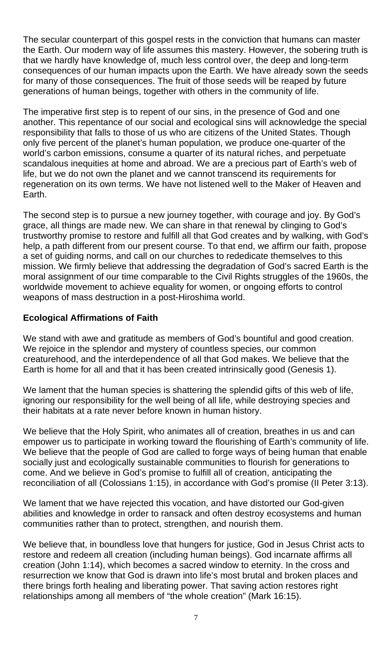The secular counterpart of this gospel rests in the conviction that humans can master the Earth. Our modern way of life assumes this mastery. However, the sobering truth is that we hardly have knowledge of, much less control over, the deep and long-term consequences of our human impacts upon the Earth. We have already sown the seeds for many of those consequences. The fruit of those seeds will be reaped by future generations of human beings, together with others in the community of life.

The imperative first step is to repent of our sins, in the presence of God and one another. This repentance of our social and ecological sins will acknowledge the special responsibility that falls to those of us who are citizens of the United States. Though only five percent of the planet's human population, we produce one-quarter of the world's carbon emissions, consume a quarter of its natural riches, and perpetuate scandalous inequities at home and abroad. We are a precious part of Earth's web of life, but we do not own the planet and we cannot transcend its requirements for regeneration on its own terms. We have not listened well to the Maker of Heaven and Earth.

The second step is to pursue a new journey together, with courage and joy. By God's grace, all things are made new. We can share in that renewal by clinging to God's trustworthy promise to restore and fulfill all that God creates and by walking, with God's help, a path different from our present course. To that end, we affirm our faith, propose a set of guiding norms, and call on our churches to rededicate themselves to this mission. We firmly believe that addressing the degradation of God's sacred Earth is the moral assignment of our time comparable to the Civil Rights struggles of the 1960s, the worldwide movement to achieve equality for women, or ongoing efforts to control weapons of mass destruction in a post-Hiroshima world.

#### **Ecological Affirmations of Faith**

We stand with awe and gratitude as members of God's bountiful and good creation. We rejoice in the splendor and mystery of countless species, our common creaturehood, and the interdependence of all that God makes. We believe that the Earth is home for all and that it has been created intrinsically good (Genesis 1).

We lament that the human species is shattering the splendid gifts of this web of life, ignoring our responsibility for the well being of all life, while destroying species and their habitats at a rate never before known in human history.

We believe that the Holy Spirit, who animates all of creation, breathes in us and can empower us to participate in working toward the flourishing of Earth's community of life. We believe that the people of God are called to forge ways of being human that enable socially just and ecologically sustainable communities to flourish for generations to come. And we believe in God's promise to fulfill all of creation, anticipating the reconciliation of all (Colossians 1:15), in accordance with God's promise (II Peter 3:13).

We lament that we have rejected this vocation, and have distorted our God-given abilities and knowledge in order to ransack and often destroy ecosystems and human communities rather than to protect, strengthen, and nourish them.

We believe that, in boundless love that hungers for justice, God in Jesus Christ acts to restore and redeem all creation (including human beings). God incarnate affirms all creation (John 1:14), which becomes a sacred window to eternity. In the cross and resurrection we know that God is drawn into life's most brutal and broken places and there brings forth healing and liberating power. That saving action restores right relationships among all members of "the whole creation" (Mark 16:15).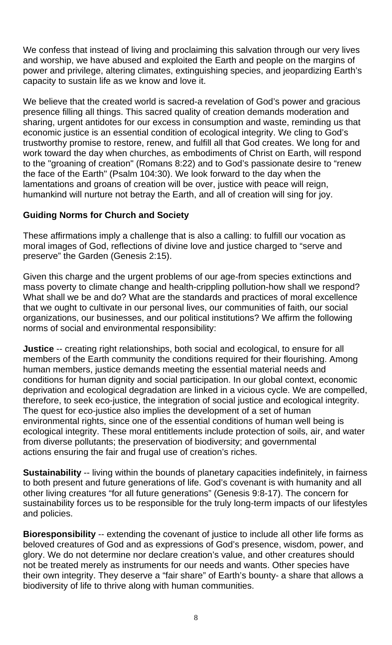We confess that instead of living and proclaiming this salvation through our very lives and worship, we have abused and exploited the Earth and people on the margins of power and privilege, altering climates, extinguishing species, and jeopardizing Earth's capacity to sustain life as we know and love it.

We believe that the created world is sacred-a revelation of God's power and gracious presence filling all things. This sacred quality of creation demands moderation and sharing, urgent antidotes for our excess in consumption and waste, reminding us that economic justice is an essential condition of ecological integrity. We cling to God's trustworthy promise to restore, renew, and fulfill all that God creates. We long for and work toward the day when churches, as embodiments of Christ on Earth, will respond to the "groaning of creation" (Romans 8:22) and to God's passionate desire to "renew the face of the Earth" (Psalm 104:30). We look forward to the day when the lamentations and groans of creation will be over, justice with peace will reign, humankind will nurture not betray the Earth, and all of creation will sing for joy.

#### **Guiding Norms for Church and Society**

These affirmations imply a challenge that is also a calling: to fulfill our vocation as moral images of God, reflections of divine love and justice charged to "serve and preserve" the Garden (Genesis 2:15).

Given this charge and the urgent problems of our age-from species extinctions and mass poverty to climate change and health-crippling pollution-how shall we respond? What shall we be and do? What are the standards and practices of moral excellence that we ought to cultivate in our personal lives, our communities of faith, our social organizations, our businesses, and our political institutions? We affirm the following norms of social and environmental responsibility:

**Justice** -- creating right relationships, both social and ecological, to ensure for all members of the Earth community the conditions required for their flourishing. Among human members, justice demands meeting the essential material needs and conditions for human dignity and social participation. In our global context, economic deprivation and ecological degradation are linked in a vicious cycle. We are compelled, therefore, to seek eco-justice, the integration of social justice and ecological integrity. The quest for eco-justice also implies the development of a set of human environmental rights, since one of the essential conditions of human well being is ecological integrity. These moral entitlements include protection of soils, air, and water from diverse pollutants; the preservation of biodiversity; and governmental actions ensuring the fair and frugal use of creation's riches.

**Sustainability** -- living within the bounds of planetary capacities indefinitely, in fairness to both present and future generations of life. God's covenant is with humanity and all other living creatures "for all future generations" (Genesis 9:8-17). The concern for sustainability forces us to be responsible for the truly long-term impacts of our lifestyles and policies.

**Bioresponsibility** -- extending the covenant of justice to include all other life forms as beloved creatures of God and as expressions of God's presence, wisdom, power, and glory. We do not determine nor declare creation's value, and other creatures should not be treated merely as instruments for our needs and wants. Other species have their own integrity. They deserve a "fair share" of Earth's bounty- a share that allows a biodiversity of life to thrive along with human communities.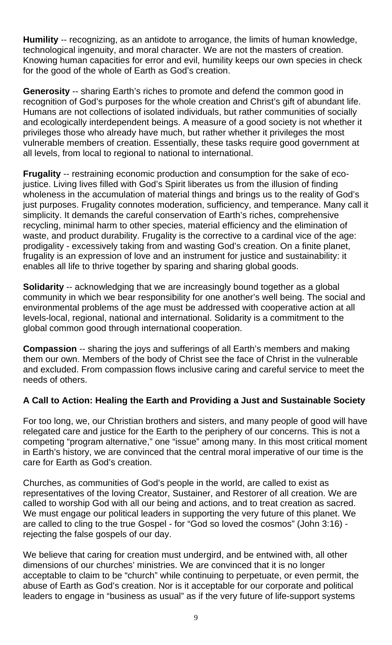**Humility** -- recognizing, as an antidote to arrogance, the limits of human knowledge, technological ingenuity, and moral character. We are not the masters of creation. Knowing human capacities for error and evil, humility keeps our own species in check for the good of the whole of Earth as God's creation.

**Generosity** -- sharing Earth's riches to promote and defend the common good in recognition of God's purposes for the whole creation and Christ's gift of abundant life. Humans are not collections of isolated individuals, but rather communities of socially and ecologically interdependent beings. A measure of a good society is not whether it privileges those who already have much, but rather whether it privileges the most vulnerable members of creation. Essentially, these tasks require good government at all levels, from local to regional to national to international.

**Frugality** -- restraining economic production and consumption for the sake of ecojustice. Living lives filled with God's Spirit liberates us from the illusion of finding wholeness in the accumulation of material things and brings us to the reality of God's just purposes. Frugality connotes moderation, sufficiency, and temperance. Many call it simplicity. It demands the careful conservation of Earth's riches, comprehensive recycling, minimal harm to other species, material efficiency and the elimination of waste, and product durability. Frugality is the corrective to a cardinal vice of the age: prodigality - excessively taking from and wasting God's creation. On a finite planet, frugality is an expression of love and an instrument for justice and sustainability: it enables all life to thrive together by sparing and sharing global goods.

**Solidarity** -- acknowledging that we are increasingly bound together as a global community in which we bear responsibility for one another's well being. The social and environmental problems of the age must be addressed with cooperative action at all levels-local, regional, national and international. Solidarity is a commitment to the global common good through international cooperation.

**Compassion** -- sharing the joys and sufferings of all Earth's members and making them our own. Members of the body of Christ see the face of Christ in the vulnerable and excluded. From compassion flows inclusive caring and careful service to meet the needs of others.

#### **A Call to Action: Healing the Earth and Providing a Just and Sustainable Society**

For too long, we, our Christian brothers and sisters, and many people of good will have relegated care and justice for the Earth to the periphery of our concerns. This is not a competing "program alternative," one "issue" among many. In this most critical moment in Earth's history, we are convinced that the central moral imperative of our time is the care for Earth as God's creation.

Churches, as communities of God's people in the world, are called to exist as representatives of the loving Creator, Sustainer, and Restorer of all creation. We are called to worship God with all our being and actions, and to treat creation as sacred. We must engage our political leaders in supporting the very future of this planet. We are called to cling to the true Gospel - for "God so loved the cosmos" (John 3:16) rejecting the false gospels of our day.

We believe that caring for creation must undergird, and be entwined with, all other dimensions of our churches' ministries. We are convinced that it is no longer acceptable to claim to be "church" while continuing to perpetuate, or even permit, the abuse of Earth as God's creation. Nor is it acceptable for our corporate and political leaders to engage in "business as usual" as if the very future of life-support systems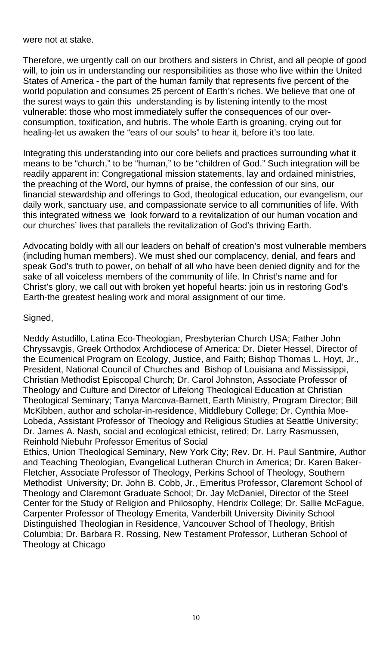were not at stake.

Therefore, we urgently call on our brothers and sisters in Christ, and all people of good will, to join us in understanding our responsibilities as those who live within the United States of America - the part of the human family that represents five percent of the world population and consumes 25 percent of Earth's riches. We believe that one of the surest ways to gain this understanding is by listening intently to the most vulnerable: those who most immediately suffer the consequences of our overconsumption, toxification, and hubris. The whole Earth is groaning, crying out for healing-let us awaken the "ears of our souls" to hear it, before it's too late.

Integrating this understanding into our core beliefs and practices surrounding what it means to be "church," to be "human," to be "children of God." Such integration will be readily apparent in: Congregational mission statements, lay and ordained ministries, the preaching of the Word, our hymns of praise, the confession of our sins, our financial stewardship and offerings to God, theological education, our evangelism, our daily work, sanctuary use, and compassionate service to all communities of life. With this integrated witness we look forward to a revitalization of our human vocation and our churches' lives that parallels the revitalization of God's thriving Earth.

Advocating boldly with all our leaders on behalf of creation's most vulnerable members (including human members). We must shed our complacency, denial, and fears and speak God's truth to power, on behalf of all who have been denied dignity and for the sake of all voiceless members of the community of life. In Christ's name and for Christ's glory, we call out with broken yet hopeful hearts: join us in restoring God's Earth-the greatest healing work and moral assignment of our time.

#### Signed,

Neddy Astudillo, Latina Eco-Theologian, Presbyterian Church USA; Father John Chryssavgis, Greek Orthodox Archdiocese of America; Dr. Dieter Hessel, Director of the Ecumenical Program on Ecology, Justice, and Faith; Bishop Thomas L. Hoyt, Jr., President, National Council of Churches and Bishop of Louisiana and Mississippi, Christian Methodist Episcopal Church; Dr. Carol Johnston, Associate Professor of Theology and Culture and Director of Lifelong Theological Education at Christian Theological Seminary; Tanya Marcova-Barnett, Earth Ministry, Program Director; Bill McKibben, author and scholar-in-residence, Middlebury College; Dr. Cynthia Moe-Lobeda, Assistant Professor of Theology and Religious Studies at Seattle University; Dr. James A. Nash, social and ecological ethicist, retired; Dr. Larry Rasmussen, Reinhold Niebuhr Professor Emeritus of Social

Ethics, Union Theological Seminary, New York City; Rev. Dr. H. Paul Santmire, Author and Teaching Theologian, Evangelical Lutheran Church in America; Dr. Karen Baker-Fletcher, Associate Professor of Theology, Perkins School of Theology, Southern Methodist University; Dr. John B. Cobb, Jr., Emeritus Professor, Claremont School of Theology and Claremont Graduate School; Dr. Jay McDaniel, Director of the Steel Center for the Study of Religion and Philosophy, Hendrix College; Dr. Sallie McFague, Carpenter Professor of Theology Emerita, Vanderbilt University Divinity School Distinguished Theologian in Residence, Vancouver School of Theology, British Columbia; Dr. Barbara R. Rossing, New Testament Professor, Lutheran School of Theology at Chicago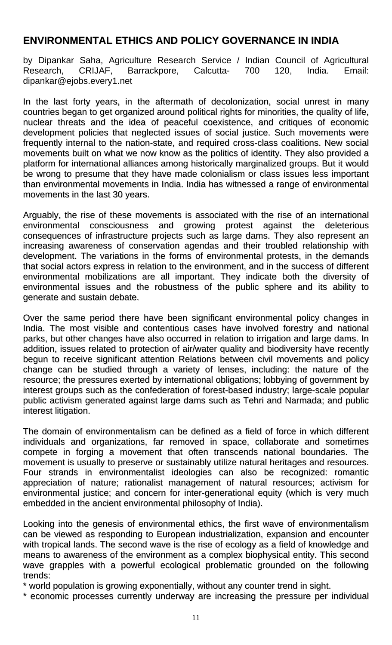## **ENVIRONMENTAL ETHICS AND POLICY GOVERNANCE IN INDIA**

by Dipankar Saha, Agriculture Research Service / Indian Council of Agricultural Research, CRIJAF, Barrackpore, Calcutta- 700 120, India. Email: dipankar@ejobs.every1.net

In the last forty years, in the aftermath of decolonization, social unrest in many countries began to get organized around political rights for minorities, the quality of life, nuclear threats and the idea of peaceful coexistence, and critiques of economic development policies that neglected issues of social justice. Such movements were frequently internal to the nation-state, and required cross-class coalitions. New social movements built on what we now know as the politics of identity. They also provided a platform for international alliances among historically marginalized groups. But it would be wrong to presume that they have made colonialism or class issues less important than environmental movements in India. India has witnessed a range of environmental movements in the last 30 years.

Arguably, the rise of these movements is associated with the rise of an international environmental consciousness and growing protest against the deleterious consequences of infrastructure projects such as large dams. They also represent an increasing awareness of conservation agendas and their troubled relationship with development. The variations in the forms of environmental protests, in the demands that social actors express in relation to the environment, and in the success of different environmental mobilizations are all important. They indicate both the diversity of environmental issues and the robustness of the public sphere and its ability to generate and sustain debate.

Over the same period there have been significant environmental policy changes in India. The most visible and contentious cases have involved forestry and national parks, but other changes have also occurred in relation to irrigation and large dams. In addition, issues related to protection of air/water quality and biodiversity have recently begun to receive significant attention Relations between civil movements and policy change can be studied through a variety of lenses, including: the nature of the resource; the pressures exerted by international obligations; lobbying of government by interest groups such as the confederation of forest-based industry; large-scale popular public activism generated against large dams such as Tehri and Narmada; and public interest litigation.

The domain of environmentalism can be defined as a field of force in which different individuals and organizations, far removed in space, collaborate and sometimes compete in forging a movement that often transcends national boundaries. The movement is usually to preserve or sustainably utilize natural heritages and resources. Four strands in environmentalist ideologies can also be recognized: romantic appreciation of nature; rationalist management of natural resources; activism for environmental justice; and concern for inter-generational equity (which is very much embedded in the ancient environmental philosophy of India).

Looking into the genesis of environmental ethics, the first wave of environmentalism can be viewed as responding to European industrialization, expansion and encounter with tropical lands. The second wave is the rise of ecology as a field of knowledge and means to awareness of the environment as a complex biophysical entity. This second wave grapples with a powerful ecological problematic grounded on the following trends:

\* world population is growing exponentially, without any counter trend in sight.

\* economic processes currently underway are increasing the pressure per individual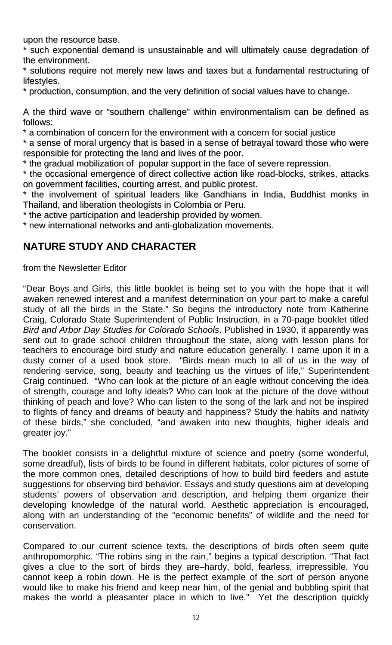upon the resource base.

\* such exponential demand is unsustainable and will ultimately cause degradation of the environment.

\* solutions require not merely new laws and taxes but a fundamental restructuring of lifestyles.

\* production, consumption, and the very definition of social values have to change.

A the third wave or "southern challenge" within environmentalism can be defined as follows:

\* a combination of concern for the environment with a concern for social justice

\* a sense of moral urgency that is based in a sense of betrayal toward those who were responsible for protecting the land and lives of the poor.

\* the gradual mobilization of popular support in the face of severe repression.

\* the occasional emergence of direct collective action like road-blocks, strikes, attacks on government facilities, courting arrest, and public protest.

\* the involvement of spiritual leaders like Gandhians in India, Buddhist monks in Thailand, and liberation theologists in Colombia or Peru.

\* the active participation and leadership provided by women.

\* new international networks and anti-globalization movements.

## **NATURE STUDY AND CHARACTER**

from the Newsletter Editor

"Dear Boys and Girls, this little booklet is being set to you with the hope that it will awaken renewed interest and a manifest determination on your part to make a careful study of all the birds in the State." So begins the introductory note from Katherine Craig, Colorado State Superintendent of Public Instruction, in a 70-page booklet titled *Bird and Arbor Day Studies for Colorado Schools*. Published in 1930, it apparently was sent out to grade school children throughout the state, along with lesson plans for teachers to encourage bird study and nature education generally. I came upon it in a dusty corner of a used book store. "Birds mean much to all of us in the way of rendering service, song, beauty and teaching us the virtues of life," Superintendent Craig continued. "Who can look at the picture of an eagle without conceiving the idea of strength, courage and lofty ideals? Who can look at the picture of the dove without thinking of peach and love? Who can listen to the song of the lark and not be inspired to flights of fancy and dreams of beauty and happiness? Study the habits and nativity of these birds," she concluded, "and awaken into new thoughts, higher ideals and greater joy."

The booklet consists in a delightful mixture of science and poetry (some wonderful, some dreadful), lists of birds to be found in different habitats, color pictures of some of the more common ones, detailed descriptions of how to build bird feeders and astute suggestions for observing bird behavior. Essays and study questions aim at developing students' powers of observation and description, and helping them organize their developing knowledge of the natural world. Aesthetic appreciation is encouraged, along with an understanding of the "economic benefits" of wildlife and the need for conservation.

Compared to our current science texts, the descriptions of birds often seem quite anthropomorphic. "The robins sing in the rain," begins a typical description. "That fact gives a clue to the sort of birds they are–hardy, bold, fearless, irrepressible. You cannot keep a robin down. He is the perfect example of the sort of person anyone would like to make his friend and keep near him, of the genial and bubbling spirit that makes the world a pleasanter place in which to live." Yet the description quickly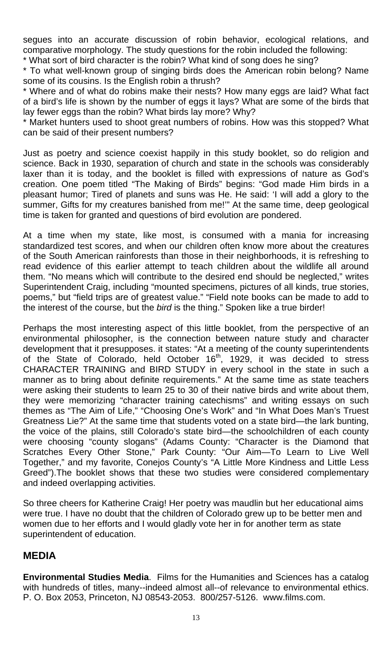segues into an accurate discussion of robin behavior, ecological relations, and comparative morphology. The study questions for the robin included the following:

\* What sort of bird character is the robin? What kind of song does he sing?

\* To what well-known group of singing birds does the American robin belong? Name some of its cousins. Is the English robin a thrush?

\* Where and of what do robins make their nests? How many eggs are laid? What fact of a bird's life is shown by the number of eggs it lays? What are some of the birds that lay fewer eggs than the robin? What birds lay more? Why?

\* Market hunters used to shoot great numbers of robins. How was this stopped? What can be said of their present numbers?

Just as poetry and science coexist happily in this study booklet, so do religion and science. Back in 1930, separation of church and state in the schools was considerably laxer than it is today, and the booklet is filled with expressions of nature as God's creation. One poem titled "The Making of Birds" begins: "God made Him birds in a pleasant humor; Tired of planets and suns was He. He said: 'I will add a glory to the summer, Gifts for my creatures banished from me!'" At the same time, deep geological time is taken for granted and questions of bird evolution are pondered.

At a time when my state, like most, is consumed with a mania for increasing standardized test scores, and when our children often know more about the creatures of the South American rainforests than those in their neighborhoods, it is refreshing to read evidence of this earlier attempt to teach children about the wildlife all around them. "No means which will contribute to the desired end should be neglected," writes Superintendent Craig, including "mounted specimens, pictures of all kinds, true stories, poems," but "field trips are of greatest value." "Field note books can be made to add to the interest of the course, but the *bird* is the thing." Spoken like a true birder!

Perhaps the most interesting aspect of this little booklet, from the perspective of an environmental philosopher, is the connection between nature study and character development that it presupposes. it states: "At a meeting of the county superintendents of the State of Colorado, held October 16<sup>th</sup>, 1929, it was decided to stress CHARACTER TRAINING and BIRD STUDY in every school in the state in such a manner as to bring about definite requirements." At the same time as state teachers were asking their students to learn 25 to 30 of their native birds and write about them, they were memorizing "character training catechisms" and writing essays on such themes as "The Aim of Life," "Choosing One's Work" and "In What Does Man's Truest Greatness Lie?" At the same time that students voted on a state bird—the lark bunting, the voice of the plains, still Colorado's state bird—the schoolchildren of each county were choosing "county slogans" (Adams County: "Character is the Diamond that Scratches Every Other Stone," Park County: "Our Aim—To Learn to Live Well Together," and my favorite, Conejos County's "A Little More Kindness and Little Less Greed").The booklet shows that these two studies were considered complementary and indeed overlapping activities.

So three cheers for Katherine Craig! Her poetry was maudlin but her educational aims were true. I have no doubt that the children of Colorado grew up to be better men and women due to her efforts and I would gladly vote her in for another term as state superintendent of education.

## **MEDIA**

**Environmental Studies Media**. Films for the Humanities and Sciences has a catalog with hundreds of titles, many--indeed almost all--of relevance to environmental ethics. P. O. Box 2053, Princeton, NJ 08543-2053. 800/257-5126. www.films.com.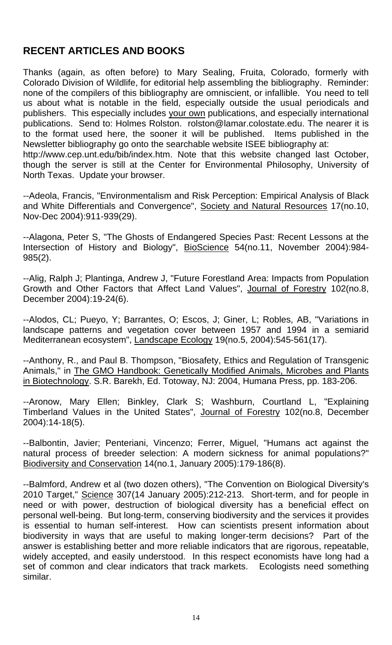# **RECENT ARTICLES AND BOOKS**

Thanks (again, as often before) to Mary Sealing, Fruita, Colorado, formerly with Colorado Division of Wildlife, for editorial help assembling the bibliography. Reminder: none of the compilers of this bibliography are omniscient, or infallible. You need to tell us about what is notable in the field, especially outside the usual periodicals and publishers. This especially includes your own publications, and especially international publications. Send to: Holmes Rolston. rolston@lamar.colostate.edu. The nearer it is to the format used here, the sooner it will be published. Items published in the Newsletter bibliography go onto the searchable website ISEE bibliography at: http://www.cep.unt.edu/bib/index.htm. Note that this website changed last October,

though the server is still at the Center for Environmental Philosophy, University of North Texas. Update your browser.

--Adeola, Francis, "Environmentalism and Risk Perception: Empirical Analysis of Black and White Differentials and Convergence", Society and Natural Resources 17(no.10, Nov-Dec 2004):911-939(29).

--Alagona, Peter S, "The Ghosts of Endangered Species Past: Recent Lessons at the Intersection of History and Biology", BioScience 54(no.11, November 2004):984-985(2).

--Alig, Ralph J; Plantinga, Andrew J, "Future Forestland Area: Impacts from Population Growth and Other Factors that Affect Land Values", Journal of Forestry 102(no.8, December 2004):19-24(6).

--Alodos, CL; Pueyo, Y; Barrantes, O; Escos, J; Giner, L; Robles, AB, "Variations in landscape patterns and vegetation cover between 1957 and 1994 in a semiarid Mediterranean ecosystem", Landscape Ecology 19(no.5, 2004):545-561(17).

--Anthony, R., and Paul B. Thompson, "Biosafety, Ethics and Regulation of Transgenic Animals," in The GMO Handbook: Genetically Modified Animals, Microbes and Plants in Biotechnology. S.R. Barekh, Ed. Totoway, NJ: 2004, Humana Press, pp. 183-206.

--Aronow, Mary Ellen; Binkley, Clark S; Washburn, Courtland L, "Explaining Timberland Values in the United States", Journal of Forestry 102(no.8, December 2004):14-18(5).

--Balbontin, Javier; Penteriani, Vincenzo; Ferrer, Miguel, "Humans act against the natural process of breeder selection: A modern sickness for animal populations?" Biodiversity and Conservation 14(no.1, January 2005):179-186(8).

--Balmford, Andrew et al (two dozen others), "The Convention on Biological Diversity's 2010 Target," Science 307(14 January 2005):212-213. Short-term, and for people in need or with power, destruction of biological diversity has a beneficial effect on personal well-being. But long-term, conserving biodiversity and the services it provides is essential to human self-interest. How can scientists present information about biodiversity in ways that are useful to making longer-term decisions? Part of the answer is establishing better and more reliable indicators that are rigorous, repeatable, widely accepted, and easily understood. In this respect economists have long had a set of common and clear indicators that track markets. Ecologists need something similar.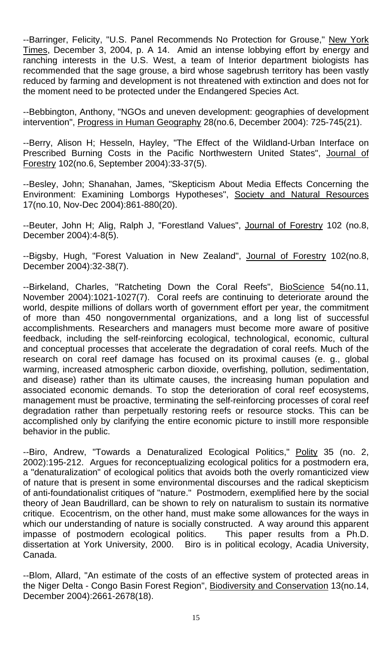--Barringer, Felicity, "U.S. Panel Recommends No Protection for Grouse," New York Times, December 3, 2004, p. A 14. Amid an intense lobbying effort by energy and ranching interests in the U.S. West, a team of Interior department biologists has recommended that the sage grouse, a bird whose sagebrush territory has been vastly reduced by farming and development is not threatened with extinction and does not for the moment need to be protected under the Endangered Species Act.

--Bebbington, Anthony, "NGOs and uneven development: geographies of development intervention", Progress in Human Geography 28(no.6, December 2004): 725-745(21).

--Berry, Alison H; Hesseln, Hayley, "The Effect of the Wildland-Urban Interface on Prescribed Burning Costs in the Pacific Northwestern United States", Journal of Forestry 102(no.6, September 2004):33-37(5).

--Besley, John; Shanahan, James, "Skepticism About Media Effects Concerning the Environment: Examining Lomborgs Hypotheses", Society and Natural Resources 17(no.10, Nov-Dec 2004):861-880(20).

--Beuter, John H; Alig, Ralph J, "Forestland Values", Journal of Forestry 102 (no.8, December 2004):4-8(5).

--Bigsby, Hugh, "Forest Valuation in New Zealand", Journal of Forestry 102(no.8, December 2004):32-38(7).

--Birkeland, Charles, "Ratcheting Down the Coral Reefs", BioScience 54(no.11, November 2004):1021-1027(7). Coral reefs are continuing to deteriorate around the world, despite millions of dollars worth of government effort per year, the commitment of more than 450 nongovernmental organizations, and a long list of successful accomplishments. Researchers and managers must become more aware of positive feedback, including the self-reinforcing ecological, technological, economic, cultural and conceptual processes that accelerate the degradation of coral reefs. Much of the research on coral reef damage has focused on its proximal causes (e. g., global warming, increased atmospheric carbon dioxide, overfishing, pollution, sedimentation, and disease) rather than its ultimate causes, the increasing human population and associated economic demands. To stop the deterioration of coral reef ecosystems, management must be proactive, terminating the self-reinforcing processes of coral reef degradation rather than perpetually restoring reefs or resource stocks. This can be accomplished only by clarifying the entire economic picture to instill more responsible behavior in the public.

--Biro, Andrew, "Towards a Denaturalized Ecological Politics," Polity 35 (no. 2, 2002):195-212. Argues for reconceptualizing ecological politics for a postmodern era, a "denaturalization" of ecological politics that avoids both the overly romanticized view of nature that is present in some environmental discourses and the radical skepticism of anti-foundationalist critiques of "nature." Postmodern, exemplified here by the social theory of Jean Baudrillard, can be shown to rely on naturalism to sustain its normative critique. Ecocentrism, on the other hand, must make some allowances for the ways in which our understanding of nature is socially constructed. A way around this apparent impasse of postmodern ecological politics. This paper results from a Ph.D. dissertation at York University, 2000. Biro is in political ecology, Acadia University, Canada.

--Blom, Allard, "An estimate of the costs of an effective system of protected areas in the Niger Delta - Congo Basin Forest Region", Biodiversity and Conservation 13(no.14, December 2004):2661-2678(18).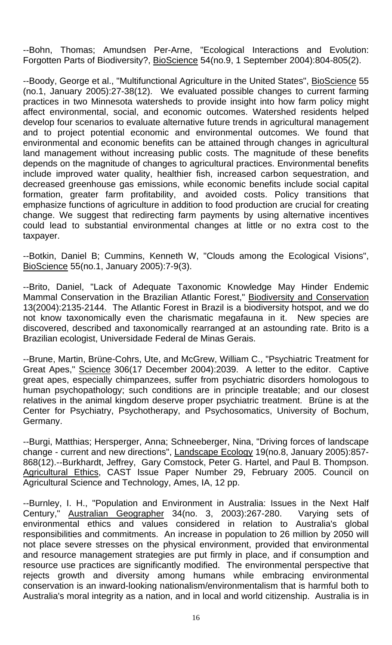--Bohn, Thomas; Amundsen Per-Arne, "Ecological Interactions and Evolution: Forgotten Parts of Biodiversity?, BioScience 54(no.9, 1 September 2004):804-805(2).

--Boody, George et al., "Multifunctional Agriculture in the United States", BioScience 55 (no.1, January 2005):27-38(12). We evaluated possible changes to current farming practices in two Minnesota watersheds to provide insight into how farm policy might affect environmental, social, and economic outcomes. Watershed residents helped develop four scenarios to evaluate alternative future trends in agricultural management and to project potential economic and environmental outcomes. We found that environmental and economic benefits can be attained through changes in agricultural land management without increasing public costs. The magnitude of these benefits depends on the magnitude of changes to agricultural practices. Environmental benefits include improved water quality, healthier fish, increased carbon sequestration, and decreased greenhouse gas emissions, while economic benefits include social capital formation, greater farm profitability, and avoided costs. Policy transitions that emphasize functions of agriculture in addition to food production are crucial for creating change. We suggest that redirecting farm payments by using alternative incentives could lead to substantial environmental changes at little or no extra cost to the taxpayer.

--Botkin, Daniel B; Cummins, Kenneth W, "Clouds among the Ecological Visions", BioScience 55(no.1, January 2005):7-9(3).

--Brito, Daniel, "Lack of Adequate Taxonomic Knowledge May Hinder Endemic Mammal Conservation in the Brazilian Atlantic Forest," Biodiversity and Conservation 13(2004):2135-2144. The Atlantic Forest in Brazil is a biodiversity hotspot, and we do not know taxonomically even the charismatic megafauna in it. New species are discovered, described and taxonomically rearranged at an astounding rate. Brito is a Brazilian ecologist, Universidade Federal de Minas Gerais.

--Brune, Martin, Brüne-Cohrs, Ute, and McGrew, William C., "Psychiatric Treatment for Great Apes," Science 306(17 December 2004):2039. A letter to the editor. Captive great apes, especially chimpanzees, suffer from psychiatric disorders homologous to human psychopathology; such conditions are in principle treatable; and our closest relatives in the animal kingdom deserve proper psychiatric treatment. Brüne is at the Center for Psychiatry, Psychotherapy, and Psychosomatics, University of Bochum, Germany.

--Burgi, Matthias; Hersperger, Anna; Schneeberger, Nina, "Driving forces of landscape change - current and new directions", Landscape Ecology 19(no.8, January 2005):857- 868(12).--Burkhardt, Jeffrey, Gary Comstock, Peter G. Hartel, and Paul B. Thompson. Agricultural Ethics, CAST Issue Paper Number 29, February 2005. Council on Agricultural Science and Technology, Ames, IA, 12 pp.

--Burnley, I. H., "Population and Environment in Australia: Issues in the Next Half Century," Australian Geographer 34(no. 3, 2003):267-280. Varying sets of environmental ethics and values considered in relation to Australia's global responsibilities and commitments. An increase in population to 26 million by 2050 will not place severe stresses on the physical environment, provided that environmental and resource management strategies are put firmly in place, and if consumption and resource use practices are significantly modified. The environmental perspective that rejects growth and diversity among humans while embracing environmental conservation is an inward-looking nationalism/environmentalism that is harmful both to Australia's moral integrity as a nation, and in local and world citizenship. Australia is in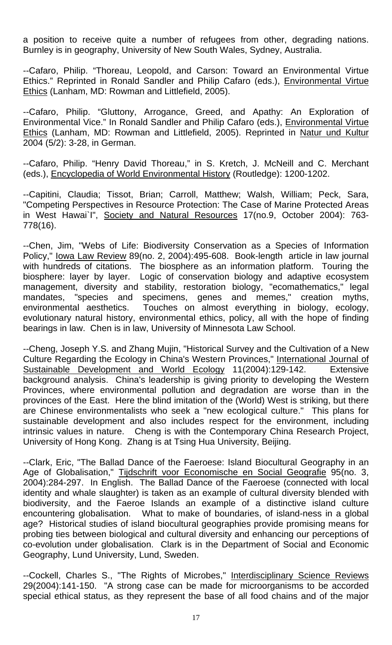a position to receive quite a number of refugees from other, degrading nations. Burnley is in geography, University of New South Wales, Sydney, Australia.

--Cafaro, Philip. "Thoreau, Leopold, and Carson: Toward an Environmental Virtue Ethics." Reprinted in Ronald Sandler and Philip Cafaro (eds.), *Environmental Virtue* Ethics (Lanham, MD: Rowman and Littlefield, 2005).

--Cafaro, Philip. "Gluttony, Arrogance, Greed, and Apathy: An Exploration of Environmental Vice." In Ronald Sandler and Philip Cafaro (eds.), Environmental Virtue Ethics (Lanham, MD: Rowman and Littlefield, 2005). Reprinted in Natur und Kultur 2004 (5/2): 3-28, in German.

--Cafaro, Philip. "Henry David Thoreau," in S. Kretch, J. McNeill and C. Merchant (eds.), Encyclopedia of World Environmental History (Routledge): 1200-1202.

--Capitini, Claudia; Tissot, Brian; Carroll, Matthew; Walsh, William; Peck, Sara, "Competing Perspectives in Resource Protection: The Case of Marine Protected Areas in West Hawai`I", Society and Natural Resources 17(no.9, October 2004): 763- 778(16).

--Chen, Jim, "Webs of Life: Biodiversity Conservation as a Species of Information Policy," Iowa Law Review 89(no. 2, 2004):495-608. Book-length article in law journal with hundreds of citations. The biosphere as an information platform. Touring the biosphere: layer by layer. Logic of conservation biology and adaptive ecosystem management, diversity and stability, restoration biology, "ecomathematics," legal mandates, "species and specimens, genes and memes," creation myths, environmental aesthetics. Touches on almost everything in biology, ecology, evolutionary natural history, environmental ethics, policy, all with the hope of finding bearings in law. Chen is in law, University of Minnesota Law School.

--Cheng, Joseph Y.S. and Zhang Mujin, "Historical Survey and the Cultivation of a New Culture Regarding the Ecology in China's Western Provinces," International Journal of Sustainable Development and World Ecology 11(2004):129-142. Extensive background analysis. China's leadership is giving priority to developing the Western Provinces, where environmental pollution and degradation are worse than in the provinces of the East. Here the blind imitation of the (World) West is striking, but there are Chinese environmentalists who seek a "new ecological culture." This plans for sustainable development and also includes respect for the environment, including intrinsic values in nature. Cheng is with the Contemporary China Research Project, University of Hong Kong. Zhang is at Tsing Hua University, Beijing.

--Clark, Eric, "The Ballad Dance of the Faeroese: Island Biocultural Geography in an Age of Globalisation," Tijdschrift voor Economische en Social Geografie 95(no. 3, 2004):284-297. In English. The Ballad Dance of the Faeroese (connected with local identity and whale slaughter) is taken as an example of cultural diversity blended with biodiversity, and the Faeroe Islands an example of a distinctive island culture encountering globalisation. What to make of boundaries, of island-ness in a global age? Historical studies of island biocultural geographies provide promising means for probing ties between biological and cultural diversity and enhancing our perceptions of co-evolution under globalisation. Clark is in the Department of Social and Economic Geography, Lund University, Lund, Sweden.

--Cockell, Charles S., "The Rights of Microbes," Interdisciplinary Science Reviews 29(2004):141-150. "A strong case can be made for microorganisms to be accorded special ethical status, as they represent the base of all food chains and of the major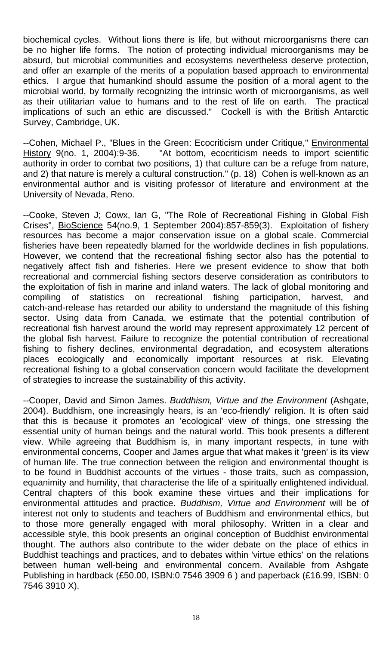biochemical cycles. Without lions there is life, but without microorganisms there can be no higher life forms. The notion of protecting individual microorganisms may be absurd, but microbial communities and ecosystems nevertheless deserve protection, and offer an example of the merits of a population based approach to environmental ethics. I argue that humankind should assume the position of a moral agent to the microbial world, by formally recognizing the intrinsic worth of microorganisms, as well as their utilitarian value to humans and to the rest of life on earth. The practical implications of such an ethic are discussed." Cockell is with the British Antarctic Survey, Cambridge, UK.

--Cohen, Michael P., "Blues in the Green: Ecocriticism under Critique," Environmental History 9(no. 1, 2004):9-36. "At bottom, ecocriticism needs to import scientific authority in order to combat two positions, 1) that culture can be a refuge from nature, and 2) that nature is merely a cultural construction." (p. 18) Cohen is well-known as an environmental author and is visiting professor of literature and environment at the University of Nevada, Reno.

--Cooke, Steven J; Cowx, Ian G, "The Role of Recreational Fishing in Global Fish Crises", BioScience 54(no.9, 1 September 2004):857-859(3). Exploitation of fishery resources has become a major conservation issue on a global scale. Commercial fisheries have been repeatedly blamed for the worldwide declines in fish populations. However, we contend that the recreational fishing sector also has the potential to negatively affect fish and fisheries. Here we present evidence to show that both recreational and commercial fishing sectors deserve consideration as contributors to the exploitation of fish in marine and inland waters. The lack of global monitoring and compiling of statistics on recreational fishing participation, harvest, and catch-and-release has retarded our ability to understand the magnitude of this fishing sector. Using data from Canada, we estimate that the potential contribution of recreational fish harvest around the world may represent approximately 12 percent of the global fish harvest. Failure to recognize the potential contribution of recreational fishing to fishery declines, environmental degradation, and ecosystem alterations places ecologically and economically important resources at risk. Elevating recreational fishing to a global conservation concern would facilitate the development of strategies to increase the sustainability of this activity.

--Cooper, David and Simon James. *Buddhism, Virtue and the Environment* (Ashgate, 2004). Buddhism, one increasingly hears, is an 'eco-friendly' religion. It is often said that this is because it promotes an 'ecological' view of things, one stressing the essential unity of human beings and the natural world. This book presents a different view. While agreeing that Buddhism is, in many important respects, in tune with environmental concerns, Cooper and James argue that what makes it 'green' is its view of human life. The true connection between the religion and environmental thought is to be found in Buddhist accounts of the virtues - those traits, such as compassion, equanimity and humility, that characterise the life of a spiritually enlightened individual. Central chapters of this book examine these virtues and their implications for environmental attitudes and practice. *Buddhism, Virtue and Environment* will be of interest not only to students and teachers of Buddhism and environmental ethics, but to those more generally engaged with moral philosophy. Written in a clear and accessible style, this book presents an original conception of Buddhist environmental thought. The authors also contribute to the wider debate on the place of ethics in Buddhist teachings and practices, and to debates within 'virtue ethics' on the relations between human well-being and environmental concern. Available from Ashgate Publishing in hardback (£50.00, ISBN:0 7546 3909 6 ) and paperback (£16.99, ISBN: 0 7546 3910 X).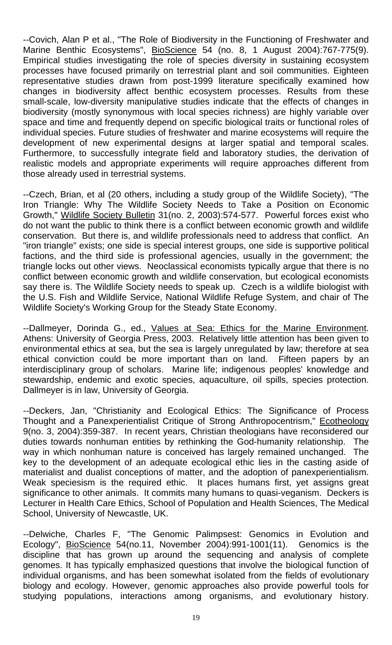--Covich, Alan P et al., "The Role of Biodiversity in the Functioning of Freshwater and Marine Benthic Ecosystems", BioScience 54 (no. 8, 1 August 2004):767-775(9). Empirical studies investigating the role of species diversity in sustaining ecosystem processes have focused primarily on terrestrial plant and soil communities. Eighteen representative studies drawn from post-1999 literature specifically examined how changes in biodiversity affect benthic ecosystem processes. Results from these small-scale, low-diversity manipulative studies indicate that the effects of changes in biodiversity (mostly synonymous with local species richness) are highly variable over space and time and frequently depend on specific biological traits or functional roles of individual species. Future studies of freshwater and marine ecosystems will require the development of new experimental designs at larger spatial and temporal scales. Furthermore, to successfully integrate field and laboratory studies, the derivation of realistic models and appropriate experiments will require approaches different from those already used in terrestrial systems.

--Czech, Brian, et al (20 others, including a study group of the Wildlife Society), "The Iron Triangle: Why The Wildlife Society Needs to Take a Position on Economic Growth," Wildlife Society Bulletin 31(no. 2, 2003):574-577. Powerful forces exist who do not want the public to think there is a conflict between economic growth and wildlife conservation. But there is, and wildlife professionals need to address that conflict. An "iron triangle" exists; one side is special interest groups, one side is supportive political factions, and the third side is professional agencies, usually in the government; the triangle locks out other views. Neoclassical economists typically argue that there is no conflict between economic growth and wildlife conservation, but ecological economists say there is. The Wildlife Society needs to speak up. Czech is a wildlife biologist with the U.S. Fish and Wildlife Service, National Wildlife Refuge System, and chair of The Wildlife Society's Working Group for the Steady State Economy.

--Dallmeyer, Dorinda G., ed., Values at Sea: Ethics for the Marine Environment. Athens: University of Georgia Press, 2003. Relatively little attention has been given to environmental ethics at sea, but the sea is largely unregulated by law; therefore at sea ethical conviction could be more important than on land. Fifteen papers by an interdisciplinary group of scholars. Marine life; indigenous peoples' knowledge and stewardship, endemic and exotic species, aquaculture, oil spills, species protection. Dallmeyer is in law, University of Georgia.

--Deckers, Jan, "Christianity and Ecological Ethics: The Significance of Process Thought and a Panexperientialist Critique of Strong Anthropocentrism," Ecotheology 9(no. 3, 2004):359-387. In recent years, Christian theologians have reconsidered our duties towards nonhuman entities by rethinking the God-humanity relationship. The way in which nonhuman nature is conceived has largely remained unchanged. The key to the development of an adequate ecological ethic lies in the casting aside of materialist and dualist conceptions of matter, and the adoption of panexperientialism. Weak speciesism is the required ethic. It places humans first, yet assigns great significance to other animals. It commits many humans to quasi-veganism. Deckers is Lecturer in Health Care Ethics, School of Population and Health Sciences, The Medical School, University of Newcastle, UK.

--Delwiche, Charles F, "The Genomic Palimpsest: Genomics in Evolution and Ecology", BioScience 54(no.11, November 2004):991-1001(11). Genomics is the discipline that has grown up around the sequencing and analysis of complete genomes. It has typically emphasized questions that involve the biological function of individual organisms, and has been somewhat isolated from the fields of evolutionary biology and ecology. However, genomic approaches also provide powerful tools for studying populations, interactions among organisms, and evolutionary history.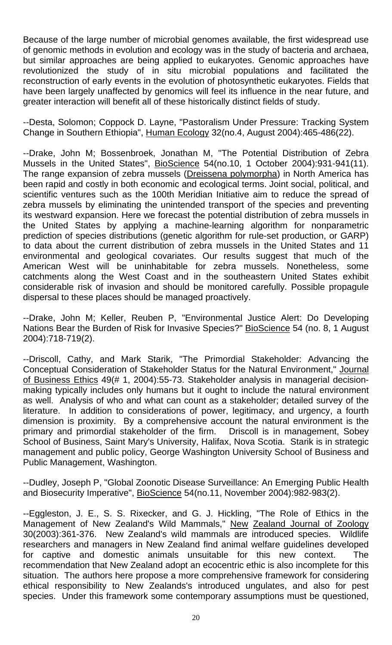Because of the large number of microbial genomes available, the first widespread use of genomic methods in evolution and ecology was in the study of bacteria and archaea, but similar approaches are being applied to eukaryotes. Genomic approaches have revolutionized the study of in situ microbial populations and facilitated the reconstruction of early events in the evolution of photosynthetic eukaryotes. Fields that have been largely unaffected by genomics will feel its influence in the near future, and greater interaction will benefit all of these historically distinct fields of study.

--Desta, Solomon; Coppock D. Layne, "Pastoralism Under Pressure: Tracking System Change in Southern Ethiopia", Human Ecology 32(no.4, August 2004):465-486(22).

--Drake, John M; Bossenbroek, Jonathan M, "The Potential Distribution of Zebra Mussels in the United States", BioScience 54(no.10, 1 October 2004):931-941(11). The range expansion of zebra mussels (Dreissena polymorpha) in North America has been rapid and costly in both economic and ecological terms. Joint social, political, and scientific ventures such as the 100th Meridian Initiative aim to reduce the spread of zebra mussels by eliminating the unintended transport of the species and preventing its westward expansion. Here we forecast the potential distribution of zebra mussels in the United States by applying a machine-learning algorithm for nonparametric prediction of species distributions (genetic algorithm for rule-set production, or GARP) to data about the current distribution of zebra mussels in the United States and 11 environmental and geological covariates. Our results suggest that much of the American West will be uninhabitable for zebra mussels. Nonetheless, some catchments along the West Coast and in the southeastern United States exhibit considerable risk of invasion and should be monitored carefully. Possible propagule dispersal to these places should be managed proactively.

--Drake, John M; Keller, Reuben P, "Environmental Justice Alert: Do Developing Nations Bear the Burden of Risk for Invasive Species?" BioScience 54 (no. 8, 1 August 2004):718-719(2).

--Driscoll, Cathy, and Mark Starik, "The Primordial Stakeholder: Advancing the Conceptual Consideration of Stakeholder Status for the Natural Environment," Journal of Business Ethics 49(# 1, 2004):55-73. Stakeholder analysis in managerial decisionmaking typically includes only humans but it ought to include the natural environment as well. Analysis of who and what can count as a stakeholder; detailed survey of the literature. In addition to considerations of power, legitimacy, and urgency, a fourth dimension is proximity. By a comprehensive account the natural environment is the primary and primordial stakeholder of the firm. Driscoll is in management, Sobey School of Business, Saint Mary's University, Halifax, Nova Scotia. Starik is in strategic management and public policy, George Washington University School of Business and Public Management, Washington.

--Dudley, Joseph P, "Global Zoonotic Disease Surveillance: An Emerging Public Health and Biosecurity Imperative", BioScience 54(no.11, November 2004):982-983(2).

--Eggleston, J. E., S. S. Rixecker, and G. J. Hickling, "The Role of Ethics in the Management of New Zealand's Wild Mammals," New Zealand Journal of Zoology 30(2003):361-376. New Zealand's wild mammals are introduced species. Wildlife researchers and managers in New Zealand find animal welfare guidelines developed for captive and domestic animals unsuitable for this new context. The recommendation that New Zealand adopt an ecocentric ethic is also incomplete for this situation. The authors here propose a more comprehensive framework for considering ethical responsibility to New Zealands's introduced ungulates, and also for pest species. Under this framework some contemporary assumptions must be questioned,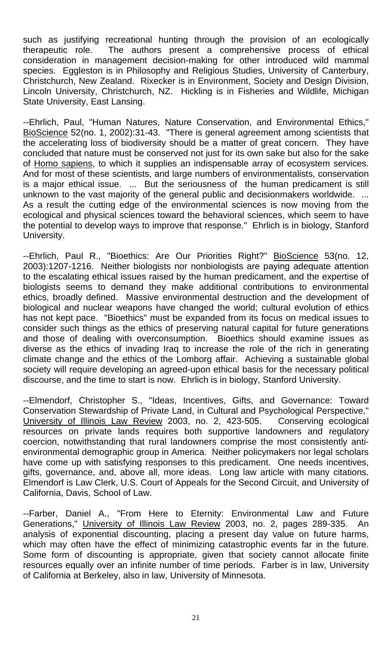such as justifying recreational hunting through the provision of an ecologically therapeutic role. The authors present a comprehensive process of ethical consideration in management decision-making for other introduced wild mammal species. Eggleston is in Philosophy and Religious Studies, University of Canterbury, Christchurch, New Zealand. Rixecker is in Environment, Society and Design Division, Lincoln University, Christchurch, NZ. Hickling is in Fisheries and Wildlife, Michigan State University, East Lansing.

--Ehrlich, Paul, "Human Natures, Nature Conservation, and Environmental Ethics," BioScience 52(no. 1, 2002):31-43. "There is general agreement among scientists that the accelerating loss of biodiversity should be a matter of great concern. They have concluded that nature must be conserved not just for its own sake but also for the sake of Homo sapiens, to which it supplies an indispensable array of ecosystem services. And for most of these scientists, and large numbers of environmentalists, conservation is a major ethical issue. ... But the seriousness of the human predicament is still unknown to the vast majority of the general public and decisionmakers worldwide. ... As a result the cutting edge of the environmental sciences is now moving from the ecological and physical sciences toward the behavioral sciences, which seem to have the potential to develop ways to improve that response." Ehrlich is in biology, Stanford University.

--Ehrlich, Paul R., "Bioethics: Are Our Priorities Right?" BioScience 53(no. 12, 2003):1207-1216. Neither biologists nor nonbiologists are paying adequate attention to the escalating ethical issues raised by the human predicament, and the expertise of biologists seems to demand they make additional contributions to environmental ethics, broadly defined. Massive environmental destruction and the development of biological and nuclear weapons have changed the world; cultural evolution of ethics has not kept pace. "Bioethics" must be expanded from its focus on medical issues to consider such things as the ethics of preserving natural capital for future generations and those of dealing with overconsumption. Bioethics should examine issues as diverse as the ethics of invading Iraq to increase the role of the rich in generating climate change and the ethics of the Lomborg affair. Achieving a sustainable global society will require developing an agreed-upon ethical basis for the necessary political discourse, and the time to start is now. Ehrlich is in biology, Stanford University.

--Elmendorf, Christopher S., "Ideas, Incentives, Gifts, and Governance: Toward Conservation Stewardship of Private Land, in Cultural and Psychological Perspective," University of Illinois Law Review 2003, no. 2, 423-505. Conserving ecological resources on private lands requires both supportive landowners and regulatory coercion, notwithstanding that rural landowners comprise the most consistently antienvironmental demographic group in America. Neither policymakers nor legal scholars have come up with satisfying responses to this predicament. One needs incentives, gifts, governance, and, above all, more ideas. Long law article with many citations. Elmendorf is Law Clerk, U.S. Court of Appeals for the Second Circuit, and University of California, Davis, School of Law.

--Farber, Daniel A., "From Here to Eternity: Environmental Law and Future Generations," University of Illinois Law Review 2003, no. 2, pages 289-335. An analysis of exponential discounting, placing a present day value on future harms, which may often have the effect of minimizing catastrophic events far in the future. Some form of discounting is appropriate, given that society cannot allocate finite resources equally over an infinite number of time periods. Farber is in law, University of California at Berkeley, also in law, University of Minnesota.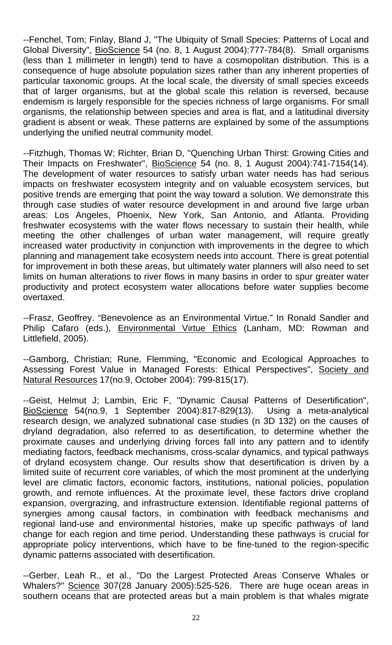--Fenchel, Tom; Finlay, Bland J, "The Ubiquity of Small Species: Patterns of Local and Global Diversity", BioScience 54 (no. 8, 1 August 2004):777-784(8). Small organisms (less than 1 millimeter in length) tend to have a cosmopolitan distribution. This is a consequence of huge absolute population sizes rather than any inherent properties of particular taxonomic groups. At the local scale, the diversity of small species exceeds that of larger organisms, but at the global scale this relation is reversed, because endemism is largely responsible for the species richness of large organisms. For small organisms, the relationship between species and area is flat, and a latitudinal diversity gradient is absent or weak. These patterns are explained by some of the assumptions underlying the unified neutral community model.

--Fitzhugh, Thomas W; Richter, Brian D, "Quenching Urban Thirst: Growing Cities and Their Impacts on Freshwater", BioScience 54 (no. 8, 1 August 2004):741-7154(14). The development of water resources to satisfy urban water needs has had serious impacts on freshwater ecosystem integrity and on valuable ecosystem services, but positive trends are emerging that point the way toward a solution. We demonstrate this through case studies of water resource development in and around five large urban areas: Los Angeles, Phoenix, New York, San Antonio, and Atlanta. Providing freshwater ecosystems with the water flows necessary to sustain their health, while meeting the other challenges of urban water management, will require greatly increased water productivity in conjunction with improvements in the degree to which planning and management take ecosystem needs into account. There is great potential for improvement in both these areas, but ultimately water planners will also need to set limits on human alterations to river flows in many basins in order to spur greater water productivity and protect ecosystem water allocations before water supplies become overtaxed.

--Frasz, Geoffrey. "Benevolence as an Environmental Virtue." In Ronald Sandler and Philip Cafaro (eds.), Environmental Virtue Ethics (Lanham, MD: Rowman and Littlefield, 2005).

--Gamborg, Christian; Rune, Flemming, "Economic and Ecological Approaches to Assessing Forest Value in Managed Forests: Ethical Perspectives", Society and Natural Resources 17(no.9, October 2004): 799-815(17).

--Geist, Helmut J; Lambin, Eric F, "Dynamic Causal Patterns of Desertification", BioScience 54(no.9, 1 September 2004):817-829(13). Using a meta-analytical research design, we analyzed subnational case studies (n 3D 132) on the causes of dryland degradation, also referred to as desertification, to determine whether the proximate causes and underlying driving forces fall into any pattern and to identify mediating factors, feedback mechanisms, cross-scalar dynamics, and typical pathways of dryland ecosystem change. Our results show that desertification is driven by a limited suite of recurrent core variables, of which the most prominent at the underlying level are climatic factors, economic factors, institutions, national policies, population growth, and remote influences. At the proximate level, these factors drive cropland expansion, overgrazing, and infrastructure extension. Identifiable regional patterns of synergies among causal factors, in combination with feedback mechanisms and regional land-use and environmental histories, make up specific pathways of land change for each region and time period. Understanding these pathways is crucial for appropriate policy interventions, which have to be fine-tuned to the region-specific dynamic patterns associated with desertification.

--Gerber, Leah R., et al., "Do the Largest Protected Areas Conserve Whales or Whalers?" Science 307(28 January 2005):525-526. There are huge ocean areas in southern oceans that are protected areas but a main problem is that whales migrate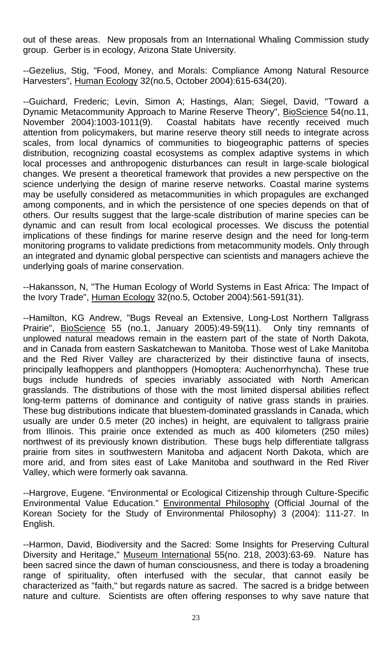out of these areas. New proposals from an International Whaling Commission study group. Gerber is in ecology, Arizona State University.

--Gezelius, Stig, "Food, Money, and Morals: Compliance Among Natural Resource Harvesters", Human Ecology 32(no.5, October 2004):615-634(20).

--Guichard, Frederic; Levin, Simon A; Hastings, Alan; Siegel, David, "Toward a Dynamic Metacommunity Approach to Marine Reserve Theory", BioScience 54(no.11, November 2004):1003-1011(9). Coastal habitats have recently received much attention from policymakers, but marine reserve theory still needs to integrate across scales, from local dynamics of communities to biogeographic patterns of species distribution, recognizing coastal ecosystems as complex adaptive systems in which local processes and anthropogenic disturbances can result in large-scale biological changes. We present a theoretical framework that provides a new perspective on the science underlying the design of marine reserve networks. Coastal marine systems may be usefully considered as metacommunities in which propagules are exchanged among components, and in which the persistence of one species depends on that of others. Our results suggest that the large-scale distribution of marine species can be dynamic and can result from local ecological processes. We discuss the potential implications of these findings for marine reserve design and the need for long-term monitoring programs to validate predictions from metacommunity models. Only through an integrated and dynamic global perspective can scientists and managers achieve the underlying goals of marine conservation.

--Hakansson, N, "The Human Ecology of World Systems in East Africa: The Impact of the Ivory Trade", Human Ecology 32(no.5, October 2004):561-591(31).

--Hamilton, KG Andrew, "Bugs Reveal an Extensive, Long-Lost Northern Tallgrass Prairie", BioScience 55 (no.1, January 2005):49-59(11). Only tiny remnants of unplowed natural meadows remain in the eastern part of the state of North Dakota, and in Canada from eastern Saskatchewan to Manitoba. Those west of Lake Manitoba and the Red River Valley are characterized by their distinctive fauna of insects, principally leafhoppers and planthoppers (Homoptera: Auchenorrhyncha). These true bugs include hundreds of species invariably associated with North American grasslands. The distributions of those with the most limited dispersal abilities reflect long-term patterns of dominance and contiguity of native grass stands in prairies. These bug distributions indicate that bluestem-dominated grasslands in Canada, which usually are under 0.5 meter (20 inches) in height, are equivalent to tallgrass prairie from Illinois. This prairie once extended as much as 400 kilometers (250 miles) northwest of its previously known distribution. These bugs help differentiate tallgrass prairie from sites in southwestern Manitoba and adjacent North Dakota, which are more arid, and from sites east of Lake Manitoba and southward in the Red River Valley, which were formerly oak savanna.

--Hargrove, Eugene. "Environmental or Ecological Citizenship through Culture-Specific Environmental Value Education." Environmental Philosophy (Official Journal of the Korean Society for the Study of Environmental Philosophy) 3 (2004): 111-27. In English.

--Harmon, David, Biodiversity and the Sacred: Some Insights for Preserving Cultural Diversity and Heritage," Museum International 55(no. 218, 2003):63-69. Nature has been sacred since the dawn of human consciousness, and there is today a broadening range of spirituality, often interfused with the secular, that cannot easily be characterized as "faith," but regards nature as sacred. The sacred is a bridge between nature and culture. Scientists are often offering responses to why save nature that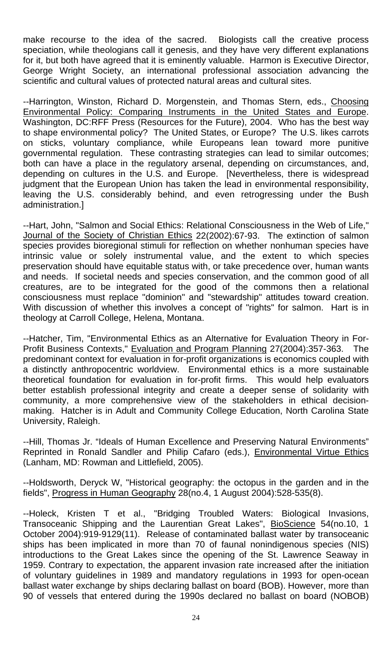make recourse to the idea of the sacred. Biologists call the creative process speciation, while theologians call it genesis, and they have very different explanations for it, but both have agreed that it is eminently valuable. Harmon is Executive Director, George Wright Society, an international professional association advancing the scientific and cultural values of protected natural areas and cultural sites.

--Harrington, Winston, Richard D. Morgenstein, and Thomas Stern, eds., Choosing Environmental Policy: Comparing Instruments in the United States and Europe. Washington, DC:RFF Press (Resources for the Future), 2004. Who has the best way to shape environmental policy? The United States, or Europe? The U.S. likes carrots on sticks, voluntary compliance, while Europeans lean toward more punitive governmental regulation. These contrasting strategies can lead to similar outcomes; both can have a place in the regulatory arsenal, depending on circumstances, and, depending on cultures in the U.S. and Europe. [Nevertheless, there is widespread judgment that the European Union has taken the lead in environmental responsibility, leaving the U.S. considerably behind, and even retrogressing under the Bush administration.]

--Hart, John, "Salmon and Social Ethics: Relational Consciousness in the Web of Life," Journal of the Society of Christian Ethics 22(2002):67-93. The extinction of salmon species provides bioregional stimuli for reflection on whether nonhuman species have intrinsic value or solely instrumental value, and the extent to which species preservation should have equitable status with, or take precedence over, human wants and needs. If societal needs and species conservation, and the common good of all creatures, are to be integrated for the good of the commons then a relational consciousness must replace "dominion" and "stewardship" attitudes toward creation. With discussion of whether this involves a concept of "rights" for salmon. Hart is in theology at Carroll College, Helena, Montana.

--Hatcher, Tim, "Environmental Ethics as an Alternative for Evaluation Theory in For-Profit Business Contexts," Evaluation and Program Planning 27(2004):357-363. The predominant context for evaluation in for-profit organizations is economics coupled with a distinctly anthropocentric worldview. Environmental ethics is a more sustainable theoretical foundation for evaluation in for-profit firms. This would help evaluators better establish professional integrity and create a deeper sense of solidarity with community, a more comprehensive view of the stakeholders in ethical decisionmaking. Hatcher is in Adult and Community College Education, North Carolina State University, Raleigh.

--Hill, Thomas Jr. "Ideals of Human Excellence and Preserving Natural Environments" Reprinted in Ronald Sandler and Philip Cafaro (eds.), Environmental Virtue Ethics (Lanham, MD: Rowman and Littlefield, 2005).

--Holdsworth, Deryck W, "Historical geography: the octopus in the garden and in the fields", Progress in Human Geography 28(no.4, 1 August 2004):528-535(8).

--Holeck, Kristen T et al., "Bridging Troubled Waters: Biological Invasions, Transoceanic Shipping and the Laurentian Great Lakes", BioScience 54(no.10, 1 October 2004):919-9129(11). Release of contaminated ballast water by transoceanic ships has been implicated in more than 70 of faunal nonindigenous species (NIS) introductions to the Great Lakes since the opening of the St. Lawrence Seaway in 1959. Contrary to expectation, the apparent invasion rate increased after the initiation of voluntary guidelines in 1989 and mandatory regulations in 1993 for open-ocean ballast water exchange by ships declaring ballast on board (BOB). However, more than 90 of vessels that entered during the 1990s declared no ballast on board (NOBOB)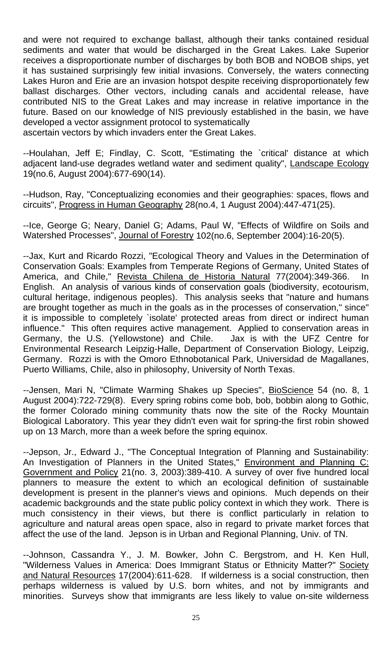and were not required to exchange ballast, although their tanks contained residual sediments and water that would be discharged in the Great Lakes. Lake Superior receives a disproportionate number of discharges by both BOB and NOBOB ships, yet it has sustained surprisingly few initial invasions. Conversely, the waters connecting Lakes Huron and Erie are an invasion hotspot despite receiving disproportionately few ballast discharges. Other vectors, including canals and accidental release, have contributed NIS to the Great Lakes and may increase in relative importance in the future. Based on our knowledge of NIS previously established in the basin, we have developed a vector assignment protocol to systematically

ascertain vectors by which invaders enter the Great Lakes.

--Houlahan, Jeff E; Findlay, C. Scott, "Estimating the `critical' distance at which adjacent land-use degrades wetland water and sediment quality", Landscape Ecology 19(no.6, August 2004):677-690(14).

--Hudson, Ray, "Conceptualizing economies and their geographies: spaces, flows and circuits", Progress in Human Geography 28(no.4, 1 August 2004):447-471(25).

--Ice, George G; Neary, Daniel G; Adams, Paul W, "Effects of Wildfire on Soils and Watershed Processes", Journal of Forestry 102(no.6, September 2004):16-20(5).

--Jax, Kurt and Ricardo Rozzi, "Ecological Theory and Values in the Determination of Conservation Goals: Examples from Temperate Regions of Germany, United States of America, and Chile," Revista Chilena de Historia Natural 77(2004):349-366. In English. An analysis of various kinds of conservation goals (biodiversity, ecotourism, cultural heritage, indigenous peoples). This analysis seeks that "nature and humans are brought together as much in the goals as in the processes of conservation," since" it is impossible to completely `isolate' protected areas from direct or indirect human influence." This often requires active management. Applied to conservation areas in Germany, the U.S. (Yellowstone) and Chile. Jax is with the UFZ Centre for Environmental Research Leipzig-Halle, Department of Conservation Biology, Leipzig, Germany. Rozzi is with the Omoro Ethnobotanical Park, Universidad de Magallanes, Puerto Williams, Chile, also in philosophy, University of North Texas.

--Jensen, Mari N, "Climate Warming Shakes up Species", BioScience 54 (no. 8, 1 August 2004):722-729(8). Every spring robins come bob, bob, bobbin along to Gothic, the former Colorado mining community thats now the site of the Rocky Mountain Biological Laboratory. This year they didn't even wait for spring-the first robin showed up on 13 March, more than a week before the spring equinox.

--Jepson, Jr., Edward J., "The Conceptual Integration of Planning and Sustainability: An Investigation of Planners in the United States," Environment and Planning C: Government and Policy 21(no. 3, 2003):389-410. A survey of over five hundred local planners to measure the extent to which an ecological definition of sustainable development is present in the planner's views and opinions. Much depends on their academic backgrounds and the state public policy context in which they work. There is much consistency in their views, but there is conflict particularly in relation to agriculture and natural areas open space, also in regard to private market forces that affect the use of the land. Jepson is in Urban and Regional Planning, Univ. of TN.

--Johnson, Cassandra Y., J. M. Bowker, John C. Bergstrom, and H. Ken Hull, "Wilderness Values in America: Does Immigrant Status or Ethnicity Matter?" Society and Natural Resources 17(2004):611-628. If wilderness is a social construction, then perhaps wilderness is valued by U.S. born whites, and not by immigrants and minorities. Surveys show that immigrants are less likely to value on-site wilderness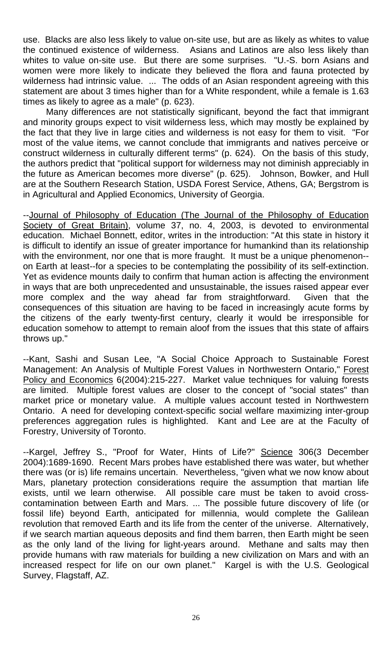use. Blacks are also less likely to value on-site use, but are as likely as whites to value the continued existence of wilderness. Asians and Latinos are also less likely than whites to value on-site use. But there are some surprises. "U.-S. born Asians and women were more likely to indicate they believed the flora and fauna protected by wilderness had intrinsic value. ... The odds of an Asian respondent agreeing with this statement are about 3 times higher than for a White respondent, while a female is 1.63 times as likely to agree as a male" (p. 623).

 Many differences are not statistically significant, beyond the fact that immigrant and minority groups expect to visit wilderness less, which may mostly be explained by the fact that they live in large cities and wilderness is not easy for them to visit. "For most of the value items, we cannot conclude that immigrants and natives perceive or construct wilderness in culturally different terms" (p. 624). On the basis of this study, the authors predict that "political support for wilderness may not diminish appreciably in the future as American becomes more diverse" (p. 625). Johnson, Bowker, and Hull are at the Southern Research Station, USDA Forest Service, Athens, GA; Bergstrom is in Agricultural and Applied Economics, University of Georgia.

--Journal of Philosophy of Education (The Journal of the Philosophy of Education Society of Great Britain), volume 37, no. 4, 2003, is devoted to environmental education. Michael Bonnett, editor, writes in the introduction: "At this state in history it is difficult to identify an issue of greater importance for humankind than its relationship with the environment, nor one that is more fraught. It must be a unique phenomenon- on Earth at least--for a species to be contemplating the possibility of its self-extinction. Yet as evidence mounts daily to confirm that human action is affecting the environment in ways that are both unprecedented and unsustainable, the issues raised appear ever more complex and the way ahead far from straightforward. Given that the consequences of this situation are having to be faced in increasingly acute forms by the citizens of the early twenty-first century, clearly it would be irresponsible for education somehow to attempt to remain aloof from the issues that this state of affairs throws up."

--Kant, Sashi and Susan Lee, "A Social Choice Approach to Sustainable Forest Management: An Analysis of Multiple Forest Values in Northwestern Ontario," Forest Policy and Economics 6(2004):215-227. Market value techniques for valuing forests are limited. Multiple forest values are closer to the concept of "social states" than market price or monetary value. A multiple values account tested in Northwestern Ontario. A need for developing context-specific social welfare maximizing inter-group preferences aggregation rules is highlighted. Kant and Lee are at the Faculty of Forestry, University of Toronto.

--Kargel, Jeffrey S., "Proof for Water, Hints of Life?" Science 306(3 December 2004):1689-1690. Recent Mars probes have established there was water, but whether there was (or is) life remains uncertain. Nevertheless, "given what we now know about Mars, planetary protection considerations require the assumption that martian life exists, until we learn otherwise. All possible care must be taken to avoid crosscontamination between Earth and Mars. ... The possible future discovery of life (or fossil life) beyond Earth, anticipated for millennia, would complete the Galilean revolution that removed Earth and its life from the center of the universe. Alternatively, if we search martian aqueous deposits and find them barren, then Earth might be seen as the only land of the living for light-years around. Methane and salts may then provide humans with raw materials for building a new civilization on Mars and with an increased respect for life on our own planet." Kargel is with the U.S. Geological Survey, Flagstaff, AZ.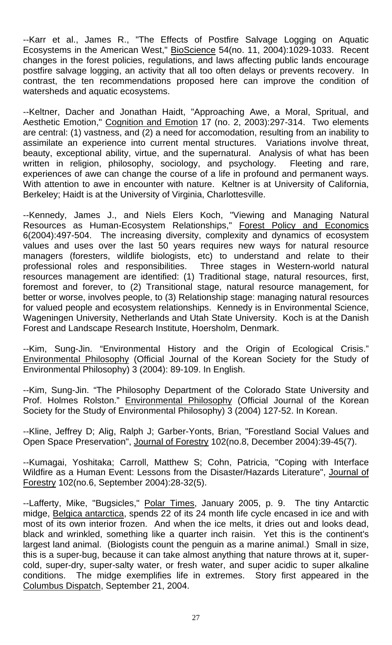--Karr et al., James R., "The Effects of Postfire Salvage Logging on Aquatic Ecosystems in the American West," BioScience 54(no. 11, 2004):1029-1033. Recent changes in the forest policies, regulations, and laws affecting public lands encourage postfire salvage logging, an activity that all too often delays or prevents recovery. In contrast, the ten recommendations proposed here can improve the condition of watersheds and aquatic ecosystems.

--Keltner, Dacher and Jonathan Haidt, "Approaching Awe, a Moral, Spritual, and Aesthetic Emotion," Cognition and Emotion 17 (no. 2, 2003):297-314. Two elements are central: (1) vastness, and (2) a need for accomodation, resulting from an inability to assimilate an experience into current mental structures. Variations involve threat, beauty, exceptional ability, virtue, and the supernatural. Analysis of what has been written in religion, philosophy, sociology, and psychology. Fleeting and rare, experiences of awe can change the course of a life in profound and permanent ways. With attention to awe in encounter with nature. Keltner is at University of California, Berkeley; Haidt is at the University of Virginia, Charlottesville.

--Kennedy, James J., and Niels Elers Koch, "Viewing and Managing Natural Resources as Human-Ecosystem Relationships," Forest Policy and Economics 6(2004):497-504. The increasing diversity, complexity and dynamics of ecosystem values and uses over the last 50 years requires new ways for natural resource managers (foresters, wildlife biologists, etc) to understand and relate to their professional roles and responsibilities. Three stages in Western-world natural resources management are identified: (1) Traditional stage, natural resources, first, foremost and forever, to (2) Transitional stage, natural resource management, for better or worse, involves people, to (3) Relationship stage: managing natural resources for valued people and ecosystem relationships. Kennedy is in Environmental Science, Wageningen University, Netherlands and Utah State University. Koch is at the Danish Forest and Landscape Research Institute, Hoersholm, Denmark.

--Kim, Sung-Jin. "Environmental History and the Origin of Ecological Crisis." Environmental Philosophy (Official Journal of the Korean Society for the Study of Environmental Philosophy) 3 (2004): 89-109. In English.

--Kim, Sung-Jin. "The Philosophy Department of the Colorado State University and Prof. Holmes Rolston." Environmental Philosophy (Official Journal of the Korean Society for the Study of Environmental Philosophy) 3 (2004) 127-52. In Korean.

--Kline, Jeffrey D; Alig, Ralph J; Garber-Yonts, Brian, "Forestland Social Values and Open Space Preservation", Journal of Forestry 102(no.8, December 2004):39-45(7).

--Kumagai, Yoshitaka; Carroll, Matthew S; Cohn, Patricia, "Coping with Interface Wildfire as a Human Event: Lessons from the Disaster/Hazards Literature", Journal of Forestry 102(no.6, September 2004):28-32(5).

--Lafferty, Mike, "Bugsicles," Polar Times, January 2005, p. 9. The tiny Antarctic midge, Belgica antarctica, spends 22 of its 24 month life cycle encased in ice and with most of its own interior frozen. And when the ice melts, it dries out and looks dead, black and wrinkled, something like a quarter inch raisin. Yet this is the continent's largest land animal. (Biologists count the penguin as a marine animal.) Small in size, this is a super-bug, because it can take almost anything that nature throws at it, supercold, super-dry, super-salty water, or fresh water, and super acidic to super alkaline conditions. The midge exemplifies life in extremes. Story first appeared in the Columbus Dispatch, September 21, 2004.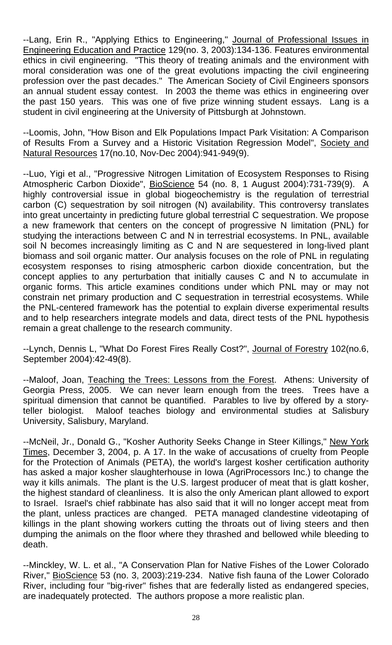--Lang, Erin R., "Applying Ethics to Engineering," Journal of Professional Issues in Engineering Education and Practice 129(no. 3, 2003):134-136. Features environmental ethics in civil engineering. "This theory of treating animals and the environment with moral consideration was one of the great evolutions impacting the civil engineering profession over the past decades." The American Society of Civil Engineers sponsors an annual student essay contest. In 2003 the theme was ethics in engineering over the past 150 years. This was one of five prize winning student essays. Lang is a student in civil engineering at the University of Pittsburgh at Johnstown.

--Loomis, John, "How Bison and Elk Populations Impact Park Visitation: A Comparison of Results From a Survey and a Historic Visitation Regression Model", Society and Natural Resources 17(no.10, Nov-Dec 2004):941-949(9).

--Luo, Yigi et al., "Progressive Nitrogen Limitation of Ecosystem Responses to Rising Atmospheric Carbon Dioxide", BioScience 54 (no. 8, 1 August 2004):731-739(9). A highly controversial issue in global biogeochemistry is the regulation of terrestrial carbon (C) sequestration by soil nitrogen (N) availability. This controversy translates into great uncertainty in predicting future global terrestrial C sequestration. We propose a new framework that centers on the concept of progressive N limitation (PNL) for studying the interactions between C and N in terrestrial ecosystems. In PNL, available soil N becomes increasingly limiting as C and N are sequestered in long-lived plant biomass and soil organic matter. Our analysis focuses on the role of PNL in regulating ecosystem responses to rising atmospheric carbon dioxide concentration, but the concept applies to any perturbation that initially causes C and N to accumulate in organic forms. This article examines conditions under which PNL may or may not constrain net primary production and C sequestration in terrestrial ecosystems. While the PNL-centered framework has the potential to explain diverse experimental results and to help researchers integrate models and data, direct tests of the PNL hypothesis remain a great challenge to the research community.

--Lynch, Dennis L, "What Do Forest Fires Really Cost?", Journal of Forestry 102(no.6, September 2004):42-49(8).

--Maloof, Joan, Teaching the Trees: Lessons from the Forest. Athens: University of Georgia Press, 2005. We can never learn enough from the trees. Trees have a spiritual dimension that cannot be quantified. Parables to live by offered by a storyteller biologist. Maloof teaches biology and environmental studies at Salisbury University, Salisbury, Maryland.

--McNeil, Jr., Donald G., "Kosher Authority Seeks Change in Steer Killings," New York Times, December 3, 2004, p. A 17. In the wake of accusations of cruelty from People for the Protection of Animals (PETA), the world's largest kosher certification authority has asked a major kosher slaughterhouse in Iowa (AgriProcessors Inc.) to change the way it kills animals. The plant is the U.S. largest producer of meat that is glatt kosher, the highest standard of cleanliness. It is also the only American plant allowed to export to Israel. Israel's chief rabbinate has also said that it will no longer accept meat from the plant, unless practices are changed. PETA managed clandestine videotaping of killings in the plant showing workers cutting the throats out of living steers and then dumping the animals on the floor where they thrashed and bellowed while bleeding to death.

--Minckley, W. L. et al., "A Conservation Plan for Native Fishes of the Lower Colorado River," BioScience 53 (no. 3, 2003):219-234. Native fish fauna of the Lower Colorado River, including four "big-river" fishes that are federally listed as endangered species, are inadequately protected. The authors propose a more realistic plan.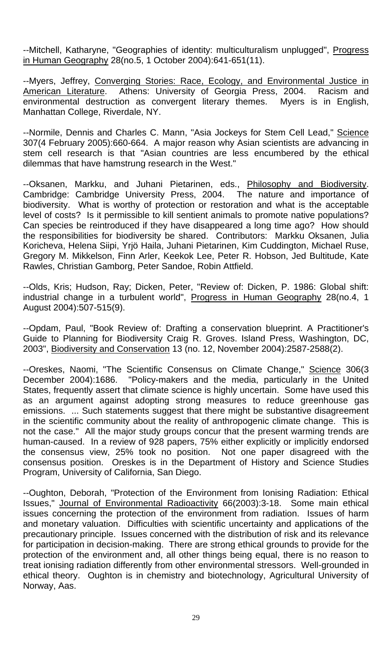--Mitchell, Katharyne, "Geographies of identity: multiculturalism unplugged", Progress in Human Geography 28(no.5, 1 October 2004):641-651(11).

--Myers, Jeffrey, Converging Stories: Race, Ecology, and Environmental Justice in American Literature. Athens: University of Georgia Press, 2004. Racism and environmental destruction as convergent literary themes. Myers is in English, Manhattan College, Riverdale, NY.

--Normile, Dennis and Charles C. Mann, "Asia Jockeys for Stem Cell Lead," Science 307(4 February 2005):660-664. A major reason why Asian scientists are advancing in stem cell research is that "Asian countries are less encumbered by the ethical dilemmas that have hamstrung research in the West."

--Oksanen, Markku, and Juhani Pietarinen, eds., Philosophy and Biodiversity. Cambridge: Cambridge University Press, 2004. The nature and importance of biodiversity. What is worthy of protection or restoration and what is the acceptable level of costs? Is it permissible to kill sentient animals to promote native populations? Can species be reintroduced if they have disappeared a long time ago? How should the responsibilities for biodiversity be shared. Contributors: Markku Oksanen, Julia Koricheva, Helena Siipi, Yrjö Haila, Juhani Pietarinen, Kim Cuddington, Michael Ruse, Gregory M. Mikkelson, Finn Arler, Keekok Lee, Peter R. Hobson, Jed Bultitude, Kate Rawles, Christian Gamborg, Peter Sandoe, Robin Attfield.

--Olds, Kris; Hudson, Ray; Dicken, Peter, "Review of: Dicken, P. 1986: Global shift: industrial change in a turbulent world", Progress in Human Geography 28(no.4, 1 August 2004):507-515(9).

--Opdam, Paul, "Book Review of: Drafting a conservation blueprint. A Practitioner's Guide to Planning for Biodiversity Craig R. Groves. Island Press, Washington, DC, 2003", Biodiversity and Conservation 13 (no. 12, November 2004):2587-2588(2).

--Oreskes, Naomi, "The Scientific Consensus on Climate Change," Science 306(3 December 2004):1686. "Policy-makers and the media, particularly in the United States, frequently assert that climate science is highly uncertain. Some have used this as an argument against adopting strong measures to reduce greenhouse gas emissions. ... Such statements suggest that there might be substantive disagreement in the scientific community about the reality of anthropogenic climate change. This is not the case." All the major study groups concur that the present warming trends are human-caused. In a review of 928 papers, 75% either explicitly or implicitly endorsed the consensus view, 25% took no position. Not one paper disagreed with the consensus position. Oreskes is in the Department of History and Science Studies Program, University of California, San Diego.

--Oughton, Deborah, "Protection of the Environment from Ionising Radiation: Ethical Issues," Journal of Environmental Radioactivity 66(2003):3-18. Some main ethical issues concerning the protection of the environment from radiation. Issues of harm and monetary valuation. Difficulties with scientific uncertainty and applications of the precautionary principle. Issues concerned with the distribution of risk and its relevance for participation in decision-making. There are strong ethical grounds to provide for the protection of the environment and, all other things being equal, there is no reason to treat ionising radiation differently from other environmental stressors. Well-grounded in ethical theory. Oughton is in chemistry and biotechnology, Agricultural University of Norway, Aas.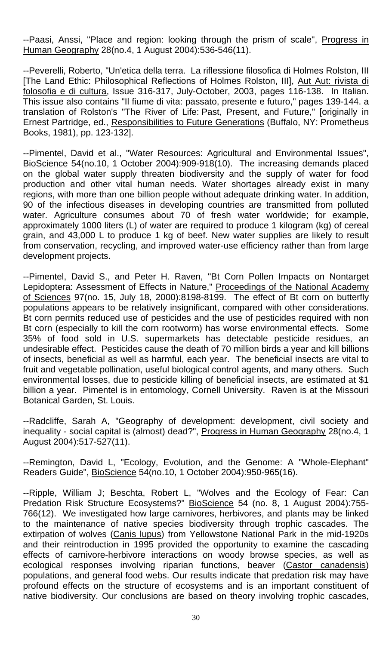--Paasi, Anssi, "Place and region: looking through the prism of scale", Progress in Human Geography 28(no.4, 1 August 2004):536-546(11).

--Peverelli, Roberto, "Un'etica della terra. La riflessione filosofica di Holmes Rolston, III [The Land Ethic: Philosophical Reflections of Holmes Rolston, III], Aut Aut: rivista di folosofia e di cultura, Issue 316-317, July-October, 2003, pages 116-138. In Italian. This issue also contains "Il fiume di vita: passato, presente e futuro," pages 139-144. a translation of Rolston's "The River of Life: Past, Present, and Future," [originally in Ernest Partridge, ed., Responsibilities to Future Generations (Buffalo, NY: Prometheus Books, 1981), pp. 123-132].

--Pimentel, David et al., "Water Resources: Agricultural and Environmental Issues", BioScience 54(no.10, 1 October 2004):909-918(10). The increasing demands placed on the global water supply threaten biodiversity and the supply of water for food production and other vital human needs. Water shortages already exist in many regions, with more than one billion people without adequate drinking water. In addition, 90 of the infectious diseases in developing countries are transmitted from polluted water. Agriculture consumes about 70 of fresh water worldwide; for example, approximately 1000 liters (L) of water are required to produce 1 kilogram (kg) of cereal grain, and 43,000 L to produce 1 kg of beef. New water supplies are likely to result from conservation, recycling, and improved water-use efficiency rather than from large development projects.

--Pimentel, David S., and Peter H. Raven, "Bt Corn Pollen Impacts on Nontarget Lepidoptera: Assessment of Effects in Nature," Proceedings of the National Academy of Sciences 97(no. 15, July 18, 2000):8198-8199. The effect of Bt corn on butterfly populations appears to be relatively insignificant, compared with other considerations. Bt corn permits reduced use of pesticides and the use of pesticides required with non Bt corn (especially to kill the corn rootworm) has worse environmental effects. Some 35% of food sold in U.S. supermarkets has detectable pesticide residues, an undesirable effect. Pesticides cause the death of 70 million birds a year and kill billions of insects, beneficial as well as harmful, each year. The beneficial insects are vital to fruit and vegetable pollination, useful biological control agents, and many others. Such environmental losses, due to pesticide killing of beneficial insects, are estimated at \$1 billion a year. Pimentel is in entomology, Cornell University. Raven is at the Missouri Botanical Garden, St. Louis.

--Radcliffe, Sarah A, "Geography of development: development, civil society and inequality - social capital is (almost) dead?", Progress in Human Geography 28(no.4, 1 August 2004):517-527(11).

--Remington, David L, "Ecology, Evolution, and the Genome: A "Whole-Elephant" Readers Guide", BioScience 54(no.10, 1 October 2004):950-965(16).

--Ripple, William J; Beschta, Robert L, "Wolves and the Ecology of Fear: Can Predation Risk Structure Ecosystems?" BioScience 54 (no. 8, 1 August 2004):755-766(12). We investigated how large carnivores, herbivores, and plants may be linked to the maintenance of native species biodiversity through trophic cascades. The extirpation of wolves (Canis lupus) from Yellowstone National Park in the mid-1920s and their reintroduction in 1995 provided the opportunity to examine the cascading effects of carnivore-herbivore interactions on woody browse species, as well as ecological responses involving riparian functions, beaver (Castor canadensis) populations, and general food webs. Our results indicate that predation risk may have profound effects on the structure of ecosystems and is an important constituent of native biodiversity. Our conclusions are based on theory involving trophic cascades,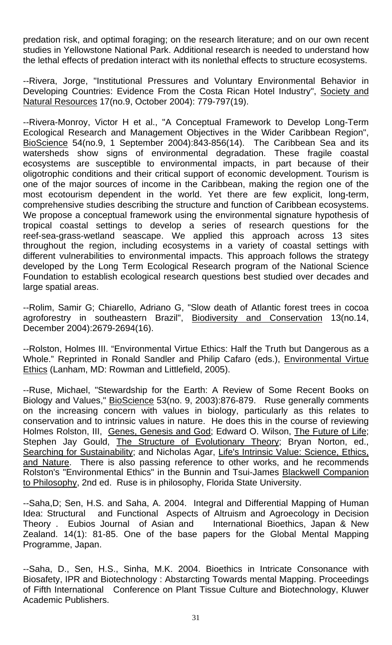predation risk, and optimal foraging; on the research literature; and on our own recent studies in Yellowstone National Park. Additional research is needed to understand how the lethal effects of predation interact with its nonlethal effects to structure ecosystems.

--Rivera, Jorge, "Institutional Pressures and Voluntary Environmental Behavior in Developing Countries: Evidence From the Costa Rican Hotel Industry", Society and Natural Resources 17(no.9, October 2004): 779-797(19).

--Rivera-Monroy, Victor H et al., "A Conceptual Framework to Develop Long-Term Ecological Research and Management Objectives in the Wider Caribbean Region", BioScience 54(no.9, 1 September 2004):843-856(14). The Caribbean Sea and its watersheds show signs of environmental degradation. These fragile coastal ecosystems are susceptible to environmental impacts, in part because of their oligotrophic conditions and their critical support of economic development. Tourism is one of the major sources of income in the Caribbean, making the region one of the most ecotourism dependent in the world. Yet there are few explicit, long-term, comprehensive studies describing the structure and function of Caribbean ecosystems. We propose a conceptual framework using the environmental signature hypothesis of tropical coastal settings to develop a series of research questions for the reef-sea-grass-wetland seascape. We applied this approach across 13 sites throughout the region, including ecosystems in a variety of coastal settings with different vulnerabilities to environmental impacts. This approach follows the strategy developed by the Long Term Ecological Research program of the National Science Foundation to establish ecological research questions best studied over decades and large spatial areas.

--Rolim, Samir G; Chiarello, Adriano G, "Slow death of Atlantic forest trees in cocoa agroforestry in southeastern Brazil", Biodiversity and Conservation 13(no.14, December 2004):2679-2694(16).

--Rolston, Holmes III. "Environmental Virtue Ethics: Half the Truth but Dangerous as a Whole." Reprinted in Ronald Sandler and Philip Cafaro (eds.), Environmental Virtue Ethics (Lanham, MD: Rowman and Littlefield, 2005).

--Ruse, Michael, "Stewardship for the Earth: A Review of Some Recent Books on Biology and Values," BioScience 53(no. 9, 2003):876-879. Ruse generally comments on the increasing concern with values in biology, particularly as this relates to conservation and to intrinsic values in nature. He does this in the course of reviewing Holmes Rolston, III, Genes, Genesis and God; Edward O. Wilson, The Future of Life; Stephen Jay Gould, The Structure of Evolutionary Theory; Bryan Norton, ed., Searching for Sustainability; and Nicholas Agar, Life's Intrinsic Value: Science, Ethics, and Nature. There is also passing reference to other works, and he recommends Rolston's "Environmental Ethics" in the Bunnin and Tsui-James **Blackwell Companion** to Philosophy, 2nd ed. Ruse is in philosophy, Florida State University.

--Saha,D; Sen, H.S. and Saha, A. 2004. Integral and Differential Mapping of Human Idea: Structural and Functional Aspects of Altruism and Agroecology in Decision Theory . Eubios Journal of Asian and International Bioethics, Japan & New Zealand. 14(1): 81-85. One of the base papers for the Global Mental Mapping Programme, Japan.

--Saha, D., Sen, H.S., Sinha, M.K. 2004. Bioethics in Intricate Consonance with Biosafety, IPR and Biotechnology : Abstarcting Towards mental Mapping. Proceedings of Fifth International Conference on Plant Tissue Culture and Biotechnology, Kluwer Academic Publishers.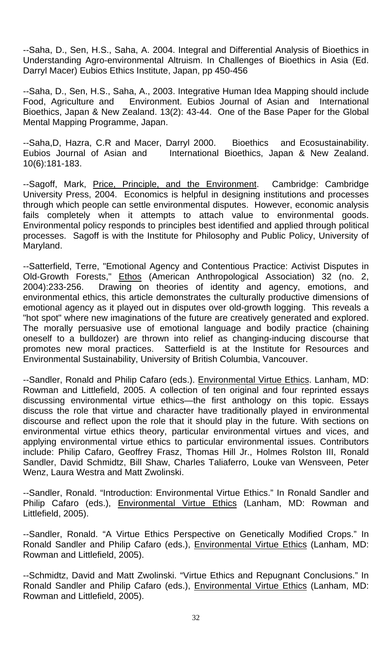--Saha, D., Sen, H.S., Saha, A. 2004. Integral and Differential Analysis of Bioethics in Understanding Agro-environmental Altruism. In Challenges of Bioethics in Asia (Ed. Darryl Macer) Eubios Ethics Institute, Japan, pp 450-456

--Saha, D., Sen, H.S., Saha, A., 2003. Integrative Human Idea Mapping should include Food, Agriculture and Environment. Eubios Journal of Asian and International Bioethics, Japan & New Zealand. 13(2): 43-44. One of the Base Paper for the Global Mental Mapping Programme, Japan.

--Saha,D, Hazra, C.R and Macer, Darryl 2000. Bioethics and Ecosustainability. Eubios Journal of Asian and International Bioethics, Japan & New Zealand. 10(6):181-183.

--Sagoff, Mark, Price, Principle, and the Environment. Cambridge: Cambridge University Press, 2004. Economics is helpful in designing institutions and processes through which people can settle environmental disputes. However, economic analysis fails completely when it attempts to attach value to environmental goods. Environmental policy responds to principles best identified and applied through political processes. Sagoff is with the Institute for Philosophy and Public Policy, University of Maryland.

--Satterfield, Terre, "Emotional Agency and Contentious Practice: Activist Disputes in Old-Growth Forests," Ethos (American Anthropological Association) 32 (no. 2, 2004):233-256. Drawing on theories of identity and agency, emotions, and environmental ethics, this article demonstrates the culturally productive dimensions of emotional agency as it played out in disputes over old-growth logging. This reveals a "hot spot" where new imaginations of the future are creatively generated and explored. The morally persuasive use of emotional language and bodily practice (chaining oneself to a bulldozer) are thrown into relief as changing-inducing discourse that promotes new moral practices. Satterfield is at the Institute for Resources and Environmental Sustainability, University of British Columbia, Vancouver.

--Sandler, Ronald and Philip Cafaro (eds.). Environmental Virtue Ethics. Lanham, MD: Rowman and Littlefield, 2005. A collection of ten original and four reprinted essays discussing environmental virtue ethics—the first anthology on this topic. Essays discuss the role that virtue and character have traditionally played in environmental discourse and reflect upon the role that it should play in the future. With sections on environmental virtue ethics theory, particular environmental virtues and vices, and applying environmental virtue ethics to particular environmental issues. Contributors include: Philip Cafaro, Geoffrey Frasz, Thomas Hill Jr., Holmes Rolston III, Ronald Sandler, David Schmidtz, Bill Shaw, Charles Taliaferro, Louke van Wensveen, Peter Wenz, Laura Westra and Matt Zwolinski.

--Sandler, Ronald. "Introduction: Environmental Virtue Ethics." In Ronald Sandler and Philip Cafaro (eds.), Environmental Virtue Ethics (Lanham, MD: Rowman and Littlefield, 2005).

--Sandler, Ronald. "A Virtue Ethics Perspective on Genetically Modified Crops." In Ronald Sandler and Philip Cafaro (eds.), Environmental Virtue Ethics (Lanham, MD: Rowman and Littlefield, 2005).

--Schmidtz, David and Matt Zwolinski. "Virtue Ethics and Repugnant Conclusions." In Ronald Sandler and Philip Cafaro (eds.), Environmental Virtue Ethics (Lanham, MD: Rowman and Littlefield, 2005).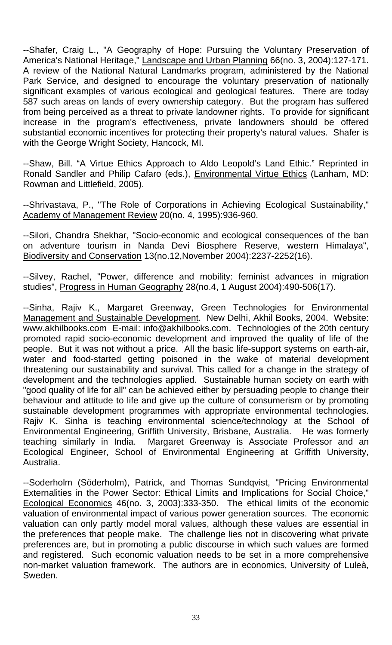--Shafer, Craig L., "A Geography of Hope: Pursuing the Voluntary Preservation of America's National Heritage," Landscape and Urban Planning 66(no. 3, 2004):127-171. A review of the National Natural Landmarks program, administered by the National Park Service, and designed to encourage the voluntary preservation of nationally significant examples of various ecological and geological features. There are today 587 such areas on lands of every ownership category. But the program has suffered from being perceived as a threat to private landowner rights. To provide for significant increase in the program's effectiveness, private landowners should be offered substantial economic incentives for protecting their property's natural values. Shafer is with the George Wright Society, Hancock, MI.

--Shaw, Bill. "A Virtue Ethics Approach to Aldo Leopold's Land Ethic." Reprinted in Ronald Sandler and Philip Cafaro (eds.), Environmental Virtue Ethics (Lanham, MD: Rowman and Littlefield, 2005).

--Shrivastava, P., "The Role of Corporations in Achieving Ecological Sustainability," Academy of Management Review 20(no. 4, 1995):936-960.

--Silori, Chandra Shekhar, "Socio-economic and ecological consequences of the ban on adventure tourism in Nanda Devi Biosphere Reserve, western Himalaya", Biodiversity and Conservation 13(no.12,November 2004):2237-2252(16).

--Silvey, Rachel, "Power, difference and mobility: feminist advances in migration studies", Progress in Human Geography 28(no.4, 1 August 2004):490-506(17).

--Sinha, Rajiv K., Margaret Greenway, Green Technologies for Environmental Management and Sustainable Development. New Delhi, Akhil Books, 2004. Website: www.akhilbooks.com E-mail: info@akhilbooks.com. Technologies of the 20th century promoted rapid socio-economic development and improved the quality of life of the people. But it was not without a price. All the basic life-support systems on earth-air, water and food-started getting poisoned in the wake of material development threatening our sustainability and survival. This called for a change in the strategy of development and the technologies applied. Sustainable human society on earth with "good quality of life for all" can be achieved either by persuading people to change their behaviour and attitude to life and give up the culture of consumerism or by promoting sustainable development programmes with appropriate environmental technologies. Rajiv K. Sinha is teaching environmental science/technology at the School of Environmental Engineering, Griffith University, Brisbane, Australia. He was formerly teaching similarly in India. Margaret Greenway is Associate Professor and an Ecological Engineer, School of Environmental Engineering at Griffith University, Australia.

--Soderholm (Söderholm), Patrick, and Thomas Sundqvist, "Pricing Environmental Externalities in the Power Sector: Ethical Limits and Implications for Social Choice," Ecological Economics 46(no. 3, 2003):333-350. The ethical limits of the economic valuation of environmental impact of various power generation sources. The economic valuation can only partly model moral values, although these values are essential in the preferences that people make. The challenge lies not in discovering what private preferences are, but in promoting a public discourse in which such values are formed and registered. Such economic valuation needs to be set in a more comprehensive non-market valuation framework. The authors are in economics, University of Luleà, Sweden.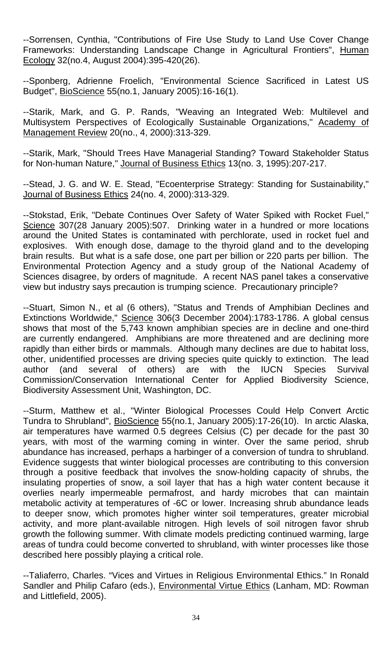--Sorrensen, Cynthia, "Contributions of Fire Use Study to Land Use Cover Change Frameworks: Understanding Landscape Change in Agricultural Frontiers", Human Ecology 32(no.4, August 2004):395-420(26).

--Sponberg, Adrienne Froelich, "Environmental Science Sacrificed in Latest US Budget", BioScience 55(no.1, January 2005):16-16(1).

--Starik, Mark, and G. P. Rands, "Weaving an Integrated Web: Multilevel and Multisystem Perspectives of Ecologically Sustainable Organizations," Academy of Management Review 20(no., 4, 2000):313-329.

--Starik, Mark, "Should Trees Have Managerial Standing? Toward Stakeholder Status for Non-human Nature," Journal of Business Ethics 13(no. 3, 1995):207-217.

--Stead, J. G. and W. E. Stead, "Ecoenterprise Strategy: Standing for Sustainability," Journal of Business Ethics 24(no. 4, 2000):313-329.

--Stokstad, Erik, "Debate Continues Over Safety of Water Spiked with Rocket Fuel," Science 307(28 January 2005):507. Drinking water in a hundred or more locations around the United States is contaminated with perchlorate, used in rocket fuel and explosives. With enough dose, damage to the thyroid gland and to the developing brain results. But what is a safe dose, one part per billion or 220 parts per billion. The Environmental Protection Agency and a study group of the National Academy of Sciences disagree, by orders of magnitude. A recent NAS panel takes a conservative view but industry says precaution is trumping science. Precautionary principle?

--Stuart, Simon N., et al (6 others), "Status and Trends of Amphibian Declines and Extinctions Worldwide," Science 306(3 December 2004):1783-1786. A global census shows that most of the 5,743 known amphibian species are in decline and one-third are currently endangered. Amphibians are more threatened and are declining more rapidly than either birds or mammals. Although many declines are due to habitat loss, other, unidentified processes are driving species quite quickly to extinction. The lead author (and several of others) are with the IUCN Species Survival Commission/Conservation International Center for Applied Biodiversity Science, Biodiversity Assessment Unit, Washington, DC.

--Sturm, Matthew et al., "Winter Biological Processes Could Help Convert Arctic Tundra to Shrubland", BioScience 55(no.1, January 2005):17-26(10). In arctic Alaska, air temperatures have warmed 0.5 degrees Celsius (C) per decade for the past 30 years, with most of the warming coming in winter. Over the same period, shrub abundance has increased, perhaps a harbinger of a conversion of tundra to shrubland. Evidence suggests that winter biological processes are contributing to this conversion through a positive feedback that involves the snow-holding capacity of shrubs, the insulating properties of snow, a soil layer that has a high water content because it overlies nearly impermeable permafrost, and hardy microbes that can maintain metabolic activity at temperatures of -6C or lower. Increasing shrub abundance leads to deeper snow, which promotes higher winter soil temperatures, greater microbial activity, and more plant-available nitrogen. High levels of soil nitrogen favor shrub growth the following summer. With climate models predicting continued warming, large areas of tundra could become converted to shrubland, with winter processes like those described here possibly playing a critical role.

--Taliaferro, Charles. "Vices and Virtues in Religious Environmental Ethics." In Ronald Sandler and Philip Cafaro (eds.), Environmental Virtue Ethics (Lanham, MD: Rowman and Littlefield, 2005).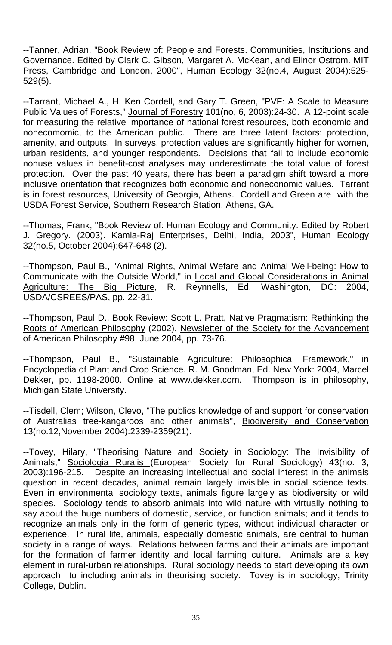--Tanner, Adrian, "Book Review of: People and Forests. Communities, Institutions and Governance. Edited by Clark C. Gibson, Margaret A. McKean, and Elinor Ostrom. MIT Press, Cambridge and London, 2000", Human Ecology 32(no.4, August 2004):525- 529(5).

--Tarrant, Michael A., H. Ken Cordell, and Gary T. Green, "PVF: A Scale to Measure Public Values of Forests," Journal of Forestry 101(no, 6, 2003):24-30. A 12-point scale for measuring the relative importance of national forest resources, both economic and nonecomomic, to the American public. There are three latent factors: protection, amenity, and outputs. In surveys, protection values are significantly higher for women, urban residents, and younger respondents. Decisions that fail to include economic nonuse values in benefit-cost analyses may underestimate the total value of forest protection. Over the past 40 years, there has been a paradigm shift toward a more inclusive orientation that recognizes both economic and noneconomic values. Tarrant is in forest resources, University of Georgia, Athens. Cordell and Green are with the USDA Forest Service, Southern Research Station, Athens, GA.

--Thomas, Frank, "Book Review of: Human Ecology and Community. Edited by Robert J. Gregory. (2003). Kamla-Raj Enterprises, Delhi, India, 2003", Human Ecology 32(no.5, October 2004):647-648 (2).

--Thompson, Paul B., "Animal Rights, Animal Wefare and Animal Well-being: How to Communicate with the Outside World," in Local and Global Considerations in Animal Agriculture: The Big Picture, R. Reynnells, Ed. Washington, DC: 2004, USDA/CSREES/PAS, pp. 22-31.

--Thompson, Paul D., Book Review: Scott L. Pratt, Native Pragmatism: Rethinking the Roots of American Philosophy (2002), Newsletter of the Society for the Advancement of American Philosophy #98, June 2004, pp. 73-76.

--Thompson, Paul B., "Sustainable Agriculture: Philosophical Framework," in Encyclopedia of Plant and Crop Science. R. M. Goodman, Ed. New York: 2004, Marcel Dekker, pp. 1198-2000. Online at www.dekker.com. Thompson is in philosophy, Michigan State University.

--Tisdell, Clem; Wilson, Clevo, "The publics knowledge of and support for conservation of Australias tree-kangaroos and other animals", Biodiversity and Conservation 13(no.12,November 2004):2339-2359(21).

--Tovey, Hilary, "Theorising Nature and Society in Sociology: The Invisibility of Animals," Sociologia Ruralis (European Society for Rural Sociology) 43(no. 3, 2003):196-215. Despite an increasing intellectual and social interest in the animals question in recent decades, animal remain largely invisible in social science texts. Even in environmental sociology texts, animals figure largely as biodiversity or wild species. Sociology tends to absorb animals into wild nature with virtually nothing to say about the huge numbers of domestic, service, or function animals; and it tends to recognize animals only in the form of generic types, without individual character or experience. In rural life, animals, especially domestic animals, are central to human society in a range of ways. Relations between farms and their animals are important for the formation of farmer identity and local farming culture. Animals are a key element in rural-urban relationships. Rural sociology needs to start developing its own approach to including animals in theorising society. Tovey is in sociology, Trinity College, Dublin.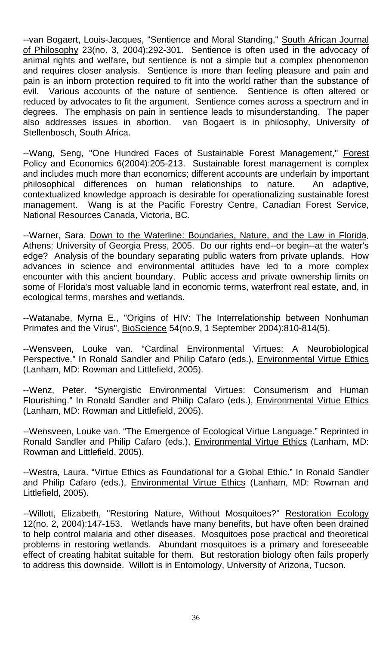--van Bogaert, Louis-Jacques, "Sentience and Moral Standing," South African Journal of Philosophy 23(no. 3, 2004):292-301. Sentience is often used in the advocacy of animal rights and welfare, but sentience is not a simple but a complex phenomenon and requires closer analysis. Sentience is more than feeling pleasure and pain and pain is an inborn protection required to fit into the world rather than the substance of evil. Various accounts of the nature of sentience. Sentience is often altered or reduced by advocates to fit the argument. Sentience comes across a spectrum and in degrees. The emphasis on pain in sentience leads to misunderstanding. The paper also addresses issues in abortion. van Bogaert is in philosophy, University of Stellenbosch, South Africa.

--Wang, Seng, "One Hundred Faces of Sustainable Forest Management," Forest Policy and Economics 6(2004):205-213. Sustainable forest management is complex and includes much more than economics; different accounts are underlain by important philosophical differences on human relationships to nature. An adaptive, contextualized knowledge approach is desirable for operationalizing sustainable forest management. Wang is at the Pacific Forestry Centre, Canadian Forest Service, National Resources Canada, Victoria, BC.

--Warner, Sara, Down to the Waterline: Boundaries, Nature, and the Law in Florida. Athens: University of Georgia Press, 2005. Do our rights end--or begin--at the water's edge? Analysis of the boundary separating public waters from private uplands. How advances in science and environmental attitudes have led to a more complex encounter with this ancient boundary. Public access and private ownership limits on some of Florida's most valuable land in economic terms, waterfront real estate, and, in ecological terms, marshes and wetlands.

--Watanabe, Myrna E., "Origins of HIV: The Interrelationship between Nonhuman Primates and the Virus", BioScience 54(no.9, 1 September 2004):810-814(5).

--Wensveen, Louke van. "Cardinal Environmental Virtues: A Neurobiological Perspective." In Ronald Sandler and Philip Cafaro (eds.), **Environmental Virtue Ethics** (Lanham, MD: Rowman and Littlefield, 2005).

--Wenz, Peter. "Synergistic Environmental Virtues: Consumerism and Human Flourishing." In Ronald Sandler and Philip Cafaro (eds.), Environmental Virtue Ethics (Lanham, MD: Rowman and Littlefield, 2005).

--Wensveen, Louke van. "The Emergence of Ecological Virtue Language." Reprinted in Ronald Sandler and Philip Cafaro (eds.), Environmental Virtue Ethics (Lanham, MD: Rowman and Littlefield, 2005).

--Westra, Laura. "Virtue Ethics as Foundational for a Global Ethic." In Ronald Sandler and Philip Cafaro (eds.), Environmental Virtue Ethics (Lanham, MD: Rowman and Littlefield, 2005).

--Willott, Elizabeth, "Restoring Nature, Without Mosquitoes?" Restoration Ecology 12(no. 2, 2004):147-153. Wetlands have many benefits, but have often been drained to help control malaria and other diseases. Mosquitoes pose practical and theoretical problems in restoring wetlands. Abundant mosquitoes is a primary and foreseeable effect of creating habitat suitable for them. But restoration biology often fails properly to address this downside. Willott is in Entomology, University of Arizona, Tucson.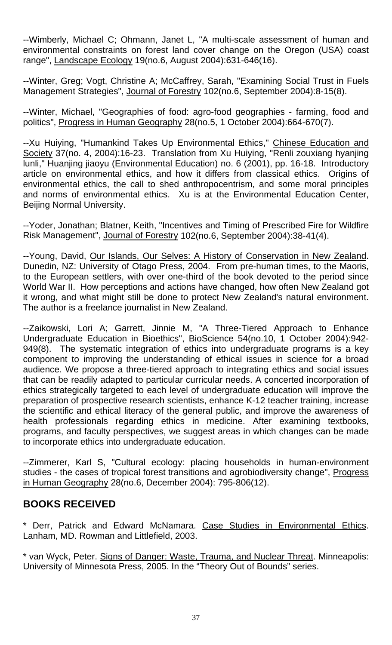--Wimberly, Michael C; Ohmann, Janet L, "A multi-scale assessment of human and environmental constraints on forest land cover change on the Oregon (USA) coast range", Landscape Ecology 19(no.6, August 2004):631-646(16).

--Winter, Greg; Vogt, Christine A; McCaffrey, Sarah, "Examining Social Trust in Fuels Management Strategies", Journal of Forestry 102(no.6, September 2004):8-15(8).

--Winter, Michael, "Geographies of food: agro-food geographies - farming, food and politics", Progress in Human Geography 28(no.5, 1 October 2004):664-670(7).

--Xu Huiying, "Humankind Takes Up Environmental Ethics," Chinese Education and Society 37(no. 4, 2004):16-23. Translation from Xu Huiying, "Renli zouxiang hyanjing lunli," Huanjing jiaoyu (Environmental Education) no. 6 (2001), pp. 16-18. Introductory article on environmental ethics, and how it differs from classical ethics. Origins of environmental ethics, the call to shed anthropocentrism, and some moral principles and norms of environmental ethics. Xu is at the Environmental Education Center, Beijing Normal University.

--Yoder, Jonathan; Blatner, Keith, "Incentives and Timing of Prescribed Fire for Wildfire Risk Management", Journal of Forestry 102(no.6, September 2004):38-41(4).

--Young, David, Our Islands, Our Selves: A History of Conservation in New Zealand. Dunedin, NZ: University of Otago Press, 2004. From pre-human times, to the Maoris, to the European settlers, with over one-third of the book devoted to the period since World War II. How perceptions and actions have changed, how often New Zealand got it wrong, and what might still be done to protect New Zealand's natural environment. The author is a freelance journalist in New Zealand.

--Zaikowski, Lori A; Garrett, Jinnie M, "A Three-Tiered Approach to Enhance Undergraduate Education in Bioethics", BioScience 54(no.10, 1 October 2004):942- 949(8). The systematic integration of ethics into undergraduate programs is a key component to improving the understanding of ethical issues in science for a broad audience. We propose a three-tiered approach to integrating ethics and social issues that can be readily adapted to particular curricular needs. A concerted incorporation of ethics strategically targeted to each level of undergraduate education will improve the preparation of prospective research scientists, enhance K-12 teacher training, increase the scientific and ethical literacy of the general public, and improve the awareness of health professionals regarding ethics in medicine. After examining textbooks, programs, and faculty perspectives, we suggest areas in which changes can be made to incorporate ethics into undergraduate education.

--Zimmerer, Karl S, "Cultural ecology: placing households in human-environment studies - the cases of tropical forest transitions and agrobiodiversity change", Progress in Human Geography 28(no.6, December 2004): 795-806(12).

## **BOOKS RECEIVED**

\* Derr, Patrick and Edward McNamara. Case Studies in Environmental Ethics. Lanham, MD. Rowman and Littlefield, 2003.

\* van Wyck, Peter. Signs of Danger: Waste, Trauma, and Nuclear Threat. Minneapolis: University of Minnesota Press, 2005. In the "Theory Out of Bounds" series.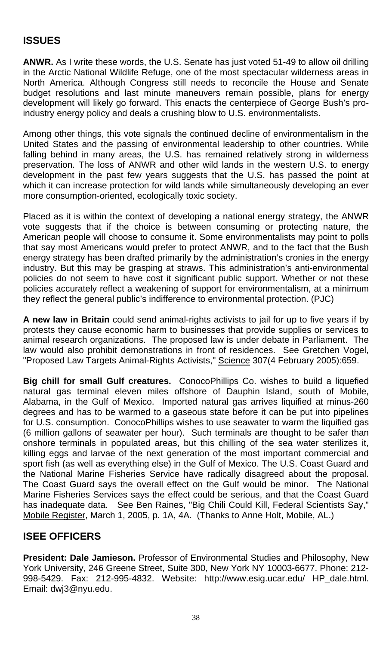# **ISSUES**

**ANWR.** As I write these words, the U.S. Senate has just voted 51-49 to allow oil drilling in the Arctic National Wildlife Refuge, one of the most spectacular wilderness areas in North America. Although Congress still needs to reconcile the House and Senate budget resolutions and last minute maneuvers remain possible, plans for energy development will likely go forward. This enacts the centerpiece of George Bush's proindustry energy policy and deals a crushing blow to U.S. environmentalists.

Among other things, this vote signals the continued decline of environmentalism in the United States and the passing of environmental leadership to other countries. While falling behind in many areas, the U.S. has remained relatively strong in wilderness preservation. The loss of ANWR and other wild lands in the western U.S. to energy development in the past few years suggests that the U.S. has passed the point at which it can increase protection for wild lands while simultaneously developing an ever more consumption-oriented, ecologically toxic society.

Placed as it is within the context of developing a national energy strategy, the ANWR vote suggests that if the choice is between consuming or protecting nature, the American people will choose to consume it. Some environmentalists may point to polls that say most Americans would prefer to protect ANWR, and to the fact that the Bush energy strategy has been drafted primarily by the administration's cronies in the energy industry. But this may be grasping at straws. This administration's anti-environmental policies do not seem to have cost it significant public support. Whether or not these policies accurately reflect a weakening of support for environmentalism, at a minimum they reflect the general public's indifference to environmental protection. (PJC)

**A new law in Britain** could send animal-rights activists to jail for up to five years if by protests they cause economic harm to businesses that provide supplies or services to animal research organizations. The proposed law is under debate in Parliament. The law would also prohibit demonstrations in front of residences. See Gretchen Vogel, "Proposed Law Targets Animal-Rights Activists," Science 307(4 February 2005):659.

**Big chill for small Gulf creatures.** ConocoPhillips Co. wishes to build a liquefied natural gas terminal eleven miles offshore of Dauphin Island, south of Mobile, Alabama, in the Gulf of Mexico. Imported natural gas arrives liquified at minus-260 degrees and has to be warmed to a gaseous state before it can be put into pipelines for U.S. consumption. ConocoPhillips wishes to use seawater to warm the liquified gas (6 million gallons of seawater per hour). Such terminals are thought to be safer than onshore terminals in populated areas, but this chilling of the sea water sterilizes it, killing eggs and larvae of the next generation of the most important commercial and sport fish (as well as everything else) in the Gulf of Mexico. The U.S. Coast Guard and the National Marine Fisheries Service have radically disagreed about the proposal. The Coast Guard says the overall effect on the Gulf would be minor. The National Marine Fisheries Services says the effect could be serious, and that the Coast Guard has inadequate data. See Ben Raines, "Big Chili Could Kill, Federal Scientists Say," Mobile Register, March 1, 2005, p. 1A, 4A. (Thanks to Anne Holt, Mobile, AL.)

## **ISEE OFFICERS**

**President: Dale Jamieson.** Professor of Environmental Studies and Philosophy, New York University, 246 Greene Street, Suite 300, New York NY 10003-6677. Phone: 212- 998-5429. Fax: 212-995-4832. Website: <http://www.esig.ucar.edu/> HP\_dale.html. Email: dwj3@nyu.edu.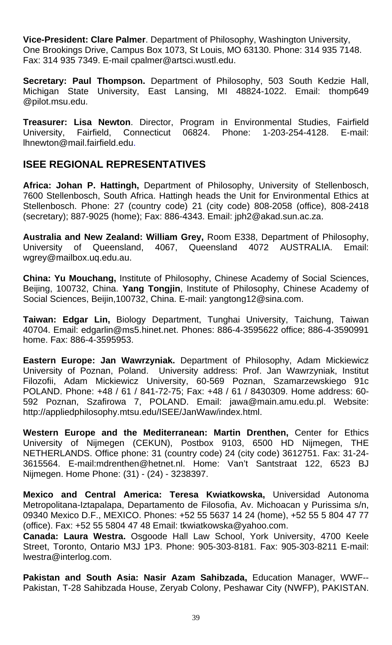**Vice-President: Clare Palmer**. Department of Philosophy, Washington University, One Brookings Drive, Campus Box 1073, St Louis, MO 63130. Phone: 314 935 7148. Fax: 314 935 7349. E-mail [cpalmer@artsci.wustl.edu.](mailto:cpalmer@artsci.wustl.edu)

**Secretary: Paul Thompson.** Department of Philosophy, 503 South Kedzie Hall, Michigan State University, East Lansing, MI 48824-1022. Email: thomp649 @pilot.msu.edu.

**Treasurer: Lisa Newton**. Director, Program in Environmental Studies, Fairfield University, Fairfield, Connecticut 06824. Phone: 1-203-254-4128. E-mail: [lhnewton@mail.fairfield.edu](mailto:lhnewton@mail.fairfield.edu).

## **ISEE REGIONAL REPRESENTATIVES**

**Africa: Johan P. Hattingh,** Department of Philosophy, University of Stellenbosch, 7600 Stellenbosch, South Africa. Hattingh heads the Unit for Environmental Ethics at Stellenbosch. Phone: 27 (country code) 21 (city code) 808-2058 (office), 808-2418 (secretary); 887-9025 (home); Fax: 886-4343. Email: jph2@akad.sun.ac.za.

**Australia and New Zealand: William Grey,** Room E338, Department of Philosophy, University of Queensland, 4067, Queensland 4072 AUSTRALIA. Email: wgrey@mailbox.uq.edu.au.

**China: Yu Mouchang,** Institute of Philosophy, Chinese Academy of Social Sciences, Beijing, 100732, China. **Yang Tongjin**, Institute of Philosophy, Chinese Academy of Social Sciences, Beijin,100732, China. E-mail: yangtong12@sina.com.

**Taiwan: Edgar Lin,** Biology Department, Tunghai University, Taichung, Taiwan 40704. Email: [edgarlin@ms5.hinet.net.](mailto:edgarlin@ms5.hinet.net.) Phones: 886-4-3595622 office; 886-4-3590991 home. Fax: 886-4-3595953.

**Eastern Europe: Jan Wawrzyniak.** Department of Philosophy, Adam Mickiewicz University of Poznan, Poland. University address: Prof. Jan Wawrzyniak, Institut Filozofii, Adam Mickiewicz University, 60-569 Poznan, Szamarzewskiego 91c POLAND. Phone: +48 / 61 / 841-72-75; Fax: +48 / 61 / 8430309. Home address: 60- 592 Poznan, Szafirowa 7, POLAND. Email: [jawa@main.amu.edu.pl.](mailto:jawa@main.amu.edu.pl.) Website: http://appliedphilosophy.mtsu.edu/ISEE/JanWaw/index.html.

**Western Europe and the Mediterranean: Martin Drenthen,** Center for Ethics University of Nijmegen (CEKUN), Postbox 9103, 6500 HD Nijmegen, THE NETHERLANDS. Office phone: 31 (country code) 24 (city code) 3612751. Fax: 31-24- 3615564. [E-mail:mdrenthen@hetnet.nl.](mailto:E-mail:mdrenthen@hetnet.nl.) Home: Van't Santstraat 122, 6523 BJ Nijmegen. Home Phone: (31) - (24) - 3238397.

**Mexico and Central America: Teresa Kwiatkowska,** Universidad Autonoma Metropolitana-Iztapalapa, Departamento de Filosofia, Av. Michoacan y Purissima s/n, 09340 Mexico D.F., MEXICO. Phones: +52 55 5637 14 24 (home), +52 55 5 804 47 77 [\(](mailto:kwiat@xanum.uam.mx.)office). Fax: +52 55 5804 47 48 Email: tkwiatkowska@yahoo.com.

**Canada: Laura Westra.** Osgoode Hall Law School, York University, 4700 Keele Street, Toronto, Ontario M3J 1P3. Phone: 905-303-8181. Fax: 905-303-8211 E-mail: lwestra@interlog.com.

**Pakistan and South Asia: Nasir Azam Sahibzada,** Education Manager, WWF-- Pakistan, T-28 Sahibzada House, Zeryab Colony, Peshawar City (NWFP), PAKISTAN.